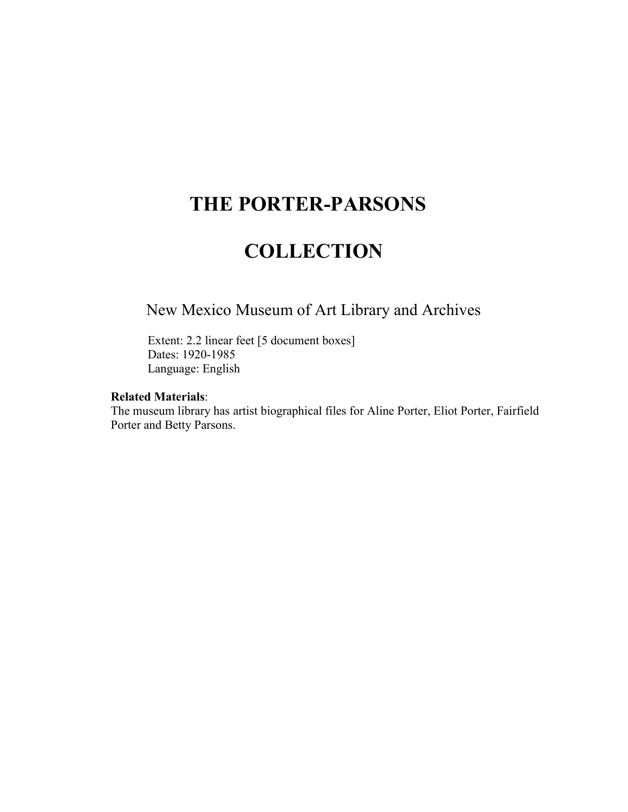# **THE PORTER-PARSONS**

# **COLLECTION**

## New Mexico Museum of Art Library and Archives

Extent: 2.2 linear feet [5 document boxes] Dates: 1920-1985 Language: English

### **Related Materials**:

The museum library has artist biographical files for Aline Porter, Eliot Porter, Fairfield Porter and Betty Parsons.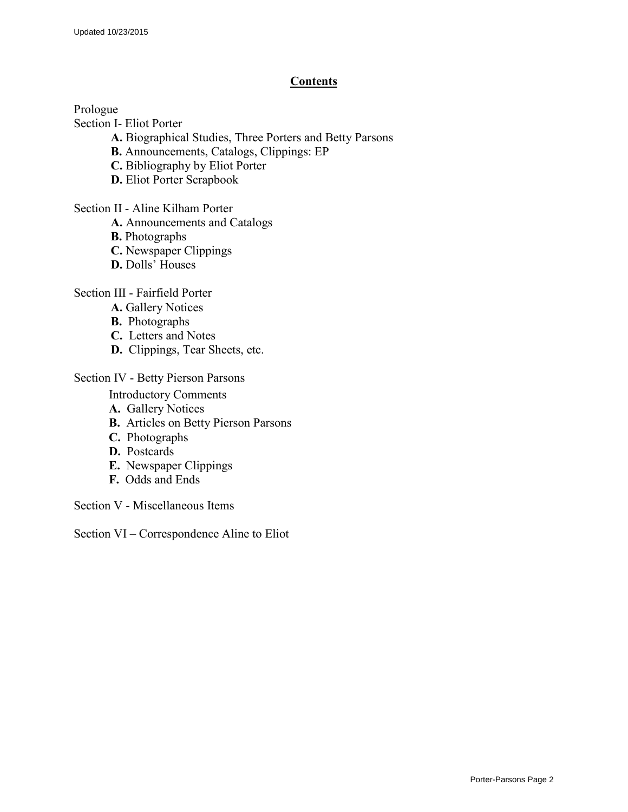#### **Contents**

Prologue

Section I- Eliot Porter

- **A.** Biographical Studies, Three Porters and Betty Parsons
- **B.** Announcements, Catalogs, Clippings: EP
- **C.** Bibliography by Eliot Porter
- **D.** Eliot Porter Scrapbook

Section II - Aline Kilham Porter

- **A.** Announcements and Catalogs
- **B.** Photographs
- **C.** Newspaper Clippings
- **D.** Dolls' Houses

Section III - Fairfield Porter

- **A.** Gallery Notices
- **B.** Photographs
- **C.** Letters and Notes
- **D.** Clippings, Tear Sheets, etc.

#### Section IV - Betty Pierson Parsons

Introductory Comments

- **A.** Gallery Notices
- **B.** Articles on Betty Pierson Parsons
- **C.** Photographs
- **D.** Postcards
- **E.** Newspaper Clippings
- **F.** Odds and Ends

Section V - Miscellaneous Items

Section VI – Correspondence Aline to Eliot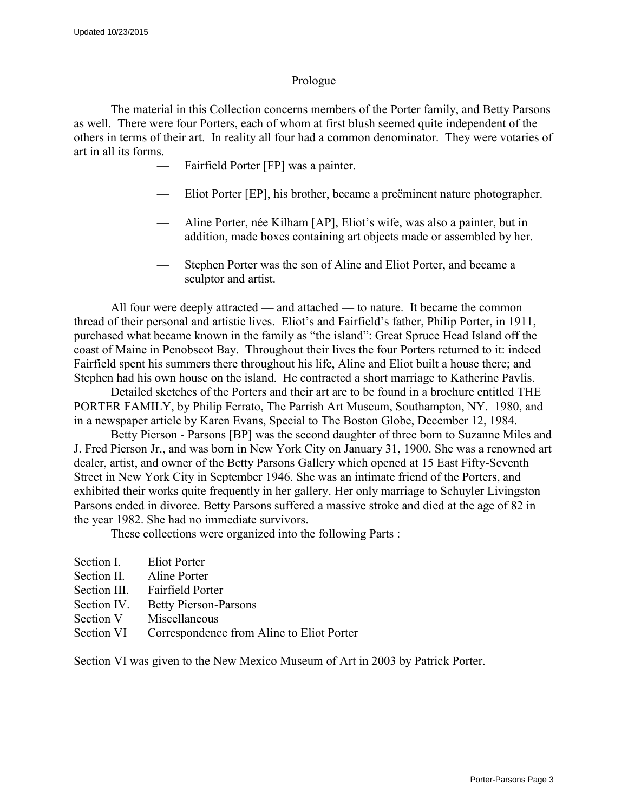#### Prologue

The material in this Collection concerns members of the Porter family, and Betty Parsons as well. There were four Porters, each of whom at first blush seemed quite independent of the others in terms of their art. In reality all four had a common denominator. They were votaries of art in all its forms.

- Fairfield Porter [FP] was a painter.
- Eliot Porter [EP], his brother, became a preëminent nature photographer.
- Aline Porter, née Kilham [AP], Eliot's wife, was also a painter, but in addition, made boxes containing art objects made or assembled by her.
- Stephen Porter was the son of Aline and Eliot Porter, and became a sculptor and artist.

All four were deeply attracted — and attached — to nature. It became the common thread of their personal and artistic lives. Eliot's and Fairfield's father, Philip Porter, in 1911, purchased what became known in the family as "the island": Great Spruce Head Island off the coast of Maine in Penobscot Bay. Throughout their lives the four Porters returned to it: indeed Fairfield spent his summers there throughout his life, Aline and Eliot built a house there; and Stephen had his own house on the island. He contracted a short marriage to Katherine Pavlis.

Detailed sketches of the Porters and their art are to be found in a brochure entitled THE PORTER FAMILY, by Philip Ferrato, The Parrish Art Museum, Southampton, NY. 1980, and in a newspaper article by Karen Evans, Special to The Boston Globe, December 12, 1984.

Betty Pierson - Parsons [BP] was the second daughter of three born to Suzanne Miles and J. Fred Pierson Jr., and was born in New York City on January 31, 1900. She was a renowned art dealer, artist, and owner of the Betty Parsons Gallery which opened at 15 East Fifty-Seventh Street in New York City in September 1946. She was an intimate friend of the Porters, and exhibited their works quite frequently in her gallery. Her only marriage to Schuyler Livingston Parsons ended in divorce. Betty Parsons suffered a massive stroke and died at the age of 82 in the year 1982. She had no immediate survivors.

These collections were organized into the following Parts :

Section I. Eliot Porter Section II. Aline Porter Section III. Fairfield Porter Section IV. Betty Pierson-Parsons Section V Miscellaneous Section VI Correspondence from Aline to Eliot Porter

Section VI was given to the New Mexico Museum of Art in 2003 by Patrick Porter.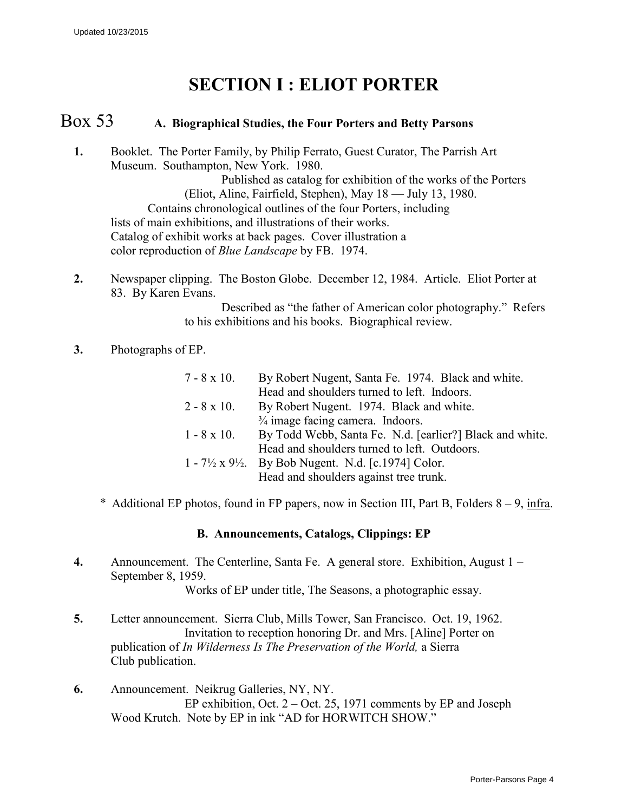# **SECTION I : ELIOT PORTER**

## Box 53 **A. Biographical Studies, the Four Porters and Betty Parsons**

- **1.** Booklet. The Porter Family, by Philip Ferrato, Guest Curator, The Parrish Art Museum. Southampton, New York. 1980. Published as catalog for exhibition of the works of the Porters (Eliot, Aline, Fairfield, Stephen), May 18 — July 13, 1980. Contains chronological outlines of the four Porters, including lists of main exhibitions, and illustrations of their works. Catalog of exhibit works at back pages. Cover illustration a color reproduction of *Blue Landscape* by FB. 1974.
- **2.** Newspaper clipping. The Boston Globe. December 12, 1984. Article. Eliot Porter at 83. By Karen Evans.

Described as "the father of American color photography." Refers to his exhibitions and his books. Biographical review.

#### **3.** Photographs of EP.

| $7 - 8 \times 10$ . | By Robert Nugent, Santa Fe. 1974. Black and white.                           |
|---------------------|------------------------------------------------------------------------------|
|                     | Head and shoulders turned to left. Indoors.                                  |
| $2 - 8 \times 10$ . | By Robert Nugent. 1974. Black and white.                                     |
|                     | $\frac{3}{4}$ image facing camera. Indoors.                                  |
| $1 - 8 \times 10$ . | By Todd Webb, Santa Fe. N.d. [earlier?] Black and white.                     |
|                     | Head and shoulders turned to left. Outdoors.                                 |
|                     | $1 - 7\frac{1}{2} \times 9\frac{1}{2}$ . By Bob Nugent. N.d. [c.1974] Color. |
|                     | Head and shoulders against tree trunk.                                       |

Additional EP photos, found in FP papers, now in Section III, Part B, Folders  $8 - 9$ , infra.

#### **B. Announcements, Catalogs, Clippings: EP**

**4.** Announcement. The Centerline, Santa Fe. A general store. Exhibition, August 1 – September 8, 1959.

Works of EP under title, The Seasons, a photographic essay.

- **5.** Letter announcement. Sierra Club, Mills Tower, San Francisco. Oct. 19, 1962. Invitation to reception honoring Dr. and Mrs. [Aline] Porter on publication of *In Wilderness Is The Preservation of the World,* a Sierra Club publication.
- **6.** Announcement. Neikrug Galleries, NY, NY. EP exhibition, Oct. 2 – Oct. 25, 1971 comments by EP and Joseph Wood Krutch. Note by EP in ink "AD for HORWITCH SHOW."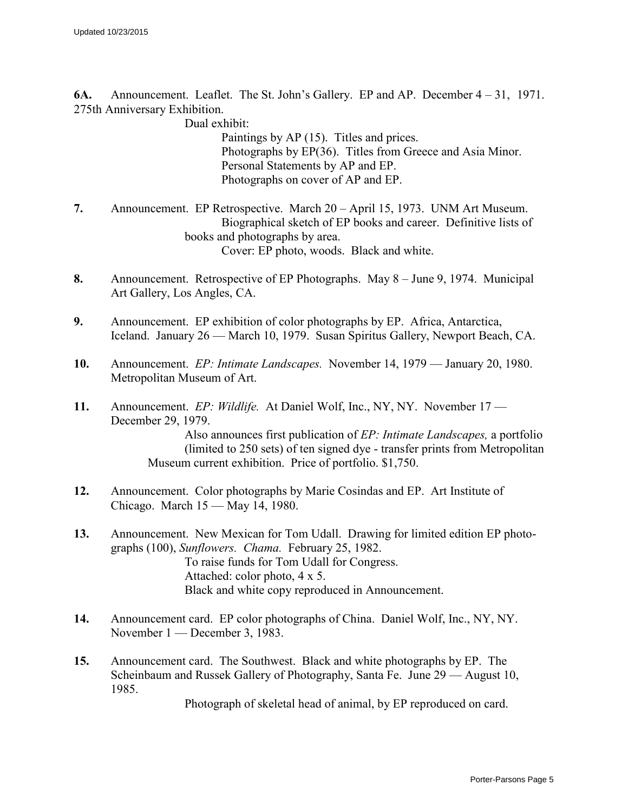**6A.** Announcement. Leaflet. The St. John's Gallery. EP and AP. December 4 – 31, 1971. 275th Anniversary Exhibition.

Dual exhibit:

Paintings by AP (15). Titles and prices. Photographs by EP(36). Titles from Greece and Asia Minor. Personal Statements by AP and EP. Photographs on cover of AP and EP.

- **7.** Announcement. EP Retrospective. March 20 April 15, 1973. UNM Art Museum. Biographical sketch of EP books and career. Definitive lists of books and photographs by area. Cover: EP photo, woods. Black and white.
- **8.** Announcement. Retrospective of EP Photographs. May 8 June 9, 1974. Municipal Art Gallery, Los Angles, CA.
- **9.** Announcement. EP exhibition of color photographs by EP. Africa, Antarctica, Iceland. January 26 — March 10, 1979. Susan Spiritus Gallery, Newport Beach, CA.
- **10.** Announcement. *EP: Intimate Landscapes.* November 14, 1979 January 20, 1980. Metropolitan Museum of Art.
- **11.** Announcement. *EP: Wildlife.* At Daniel Wolf, Inc., NY, NY. November 17 December 29, 1979. Also announces first publication of *EP: Intimate Landscapes,* a portfolio (limited to 250 sets) of ten signed dye - transfer prints from Metropolitan Museum current exhibition. Price of portfolio. \$1,750.
- **12.** Announcement. Color photographs by Marie Cosindas and EP. Art Institute of Chicago. March 15 — May 14, 1980.
- **13.** Announcement. New Mexican for Tom Udall. Drawing for limited edition EP photographs (100), *Sunflowers. Chama.* February 25, 1982. To raise funds for Tom Udall for Congress. Attached: color photo, 4 x 5. Black and white copy reproduced in Announcement.
- **14.** Announcement card. EP color photographs of China. Daniel Wolf, Inc., NY, NY. November 1 — December 3, 1983.
- **15.** Announcement card. The Southwest. Black and white photographs by EP. The Scheinbaum and Russek Gallery of Photography, Santa Fe. June 29 — August 10, 1985.

Photograph of skeletal head of animal, by EP reproduced on card.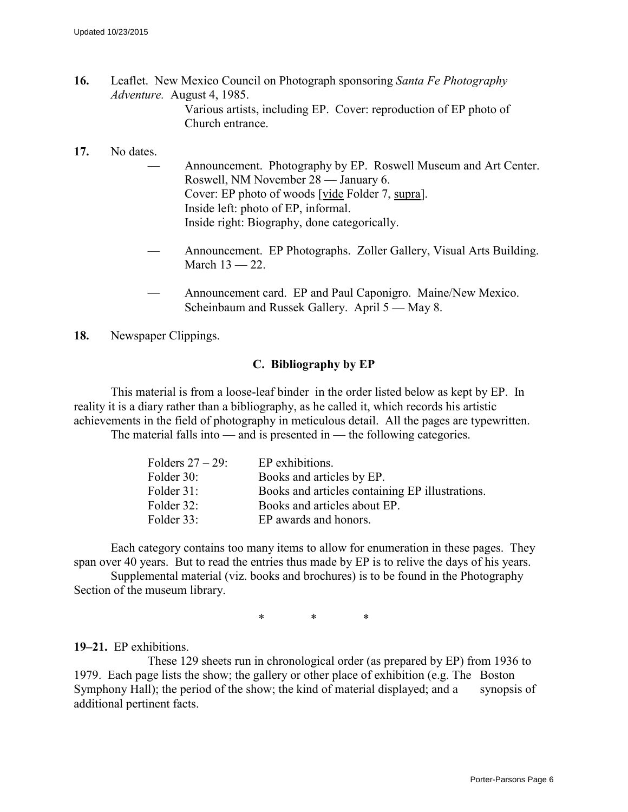**16.** Leaflet. New Mexico Council on Photograph sponsoring *Santa Fe Photography Adventure.* August 4, 1985. Various artists, including EP. Cover: reproduction of EP photo of Church entrance.

#### **17.** No dates.

- Announcement. Photography by EP. Roswell Museum and Art Center. Roswell, NM November 28 — January 6. Cover: EP photo of woods [vide Folder 7, supra]. Inside left: photo of EP, informal. Inside right: Biography, done categorically.
- Announcement. EP Photographs. Zoller Gallery, Visual Arts Building. March 13 — 22.
- Announcement card. EP and Paul Caponigro. Maine/New Mexico. Scheinbaum and Russek Gallery. April 5 — May 8.

**18.** Newspaper Clippings.

#### **C. Bibliography by EP**

This material is from a loose-leaf binder in the order listed below as kept by EP. In reality it is a diary rather than a bibliography, as he called it, which records his artistic achievements in the field of photography in meticulous detail. All the pages are typewritten.

The material falls into — and is presented in — the following categories.

| Folders $27 - 29$ : | EP exhibitions.                                 |
|---------------------|-------------------------------------------------|
| Folder 30:          | Books and articles by EP.                       |
| Folder 31:          | Books and articles containing EP illustrations. |
| Folder 32:          | Books and articles about EP.                    |
| Folder 33:          | EP awards and honors.                           |

Each category contains too many items to allow for enumeration in these pages. They span over 40 years. But to read the entries thus made by EP is to relive the days of his years.

Supplemental material (viz. books and brochures) is to be found in the Photography Section of the museum library.

\* \* \*

**19–21.** EP exhibitions.

These 129 sheets run in chronological order (as prepared by EP) from 1936 to 1979. Each page lists the show; the gallery or other place of exhibition (e.g. The Boston Symphony Hall); the period of the show; the kind of material displayed; and a synopsis of additional pertinent facts.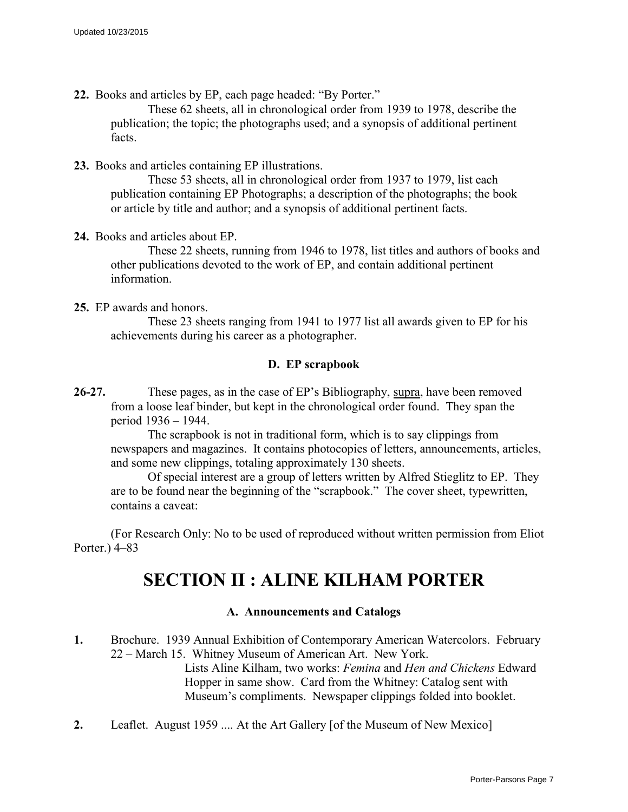**22.** Books and articles by EP, each page headed: "By Porter."

These 62 sheets, all in chronological order from 1939 to 1978, describe the publication; the topic; the photographs used; and a synopsis of additional pertinent facts.

**23.** Books and articles containing EP illustrations.

These 53 sheets, all in chronological order from 1937 to 1979, list each publication containing EP Photographs; a description of the photographs; the book or article by title and author; and a synopsis of additional pertinent facts.

**24.** Books and articles about EP.

These 22 sheets, running from 1946 to 1978, list titles and authors of books and other publications devoted to the work of EP, and contain additional pertinent information.

**25.** EP awards and honors.

These 23 sheets ranging from 1941 to 1977 list all awards given to EP for his achievements during his career as a photographer.

#### **D. EP scrapbook**

**26-27.** These pages, as in the case of EP's Bibliography, supra, have been removed from a loose leaf binder, but kept in the chronological order found. They span the period 1936 – 1944.

The scrapbook is not in traditional form, which is to say clippings from newspapers and magazines. It contains photocopies of letters, announcements, articles, and some new clippings, totaling approximately 130 sheets.

Of special interest are a group of letters written by Alfred Stieglitz to EP. They are to be found near the beginning of the "scrapbook." The cover sheet, typewritten, contains a caveat:

(For Research Only: No to be used of reproduced without written permission from Eliot Porter.) 4–83

## **SECTION II : ALINE KILHAM PORTER**

#### **A. Announcements and Catalogs**

- **1.** Brochure. 1939 Annual Exhibition of Contemporary American Watercolors. February 22 – March 15. Whitney Museum of American Art. New York. Lists Aline Kilham, two works: *Femina* and *Hen and Chickens* Edward Hopper in same show. Card from the Whitney: Catalog sent with Museum's compliments. Newspaper clippings folded into booklet.
- **2.** Leaflet. August 1959 .... At the Art Gallery [of the Museum of New Mexico]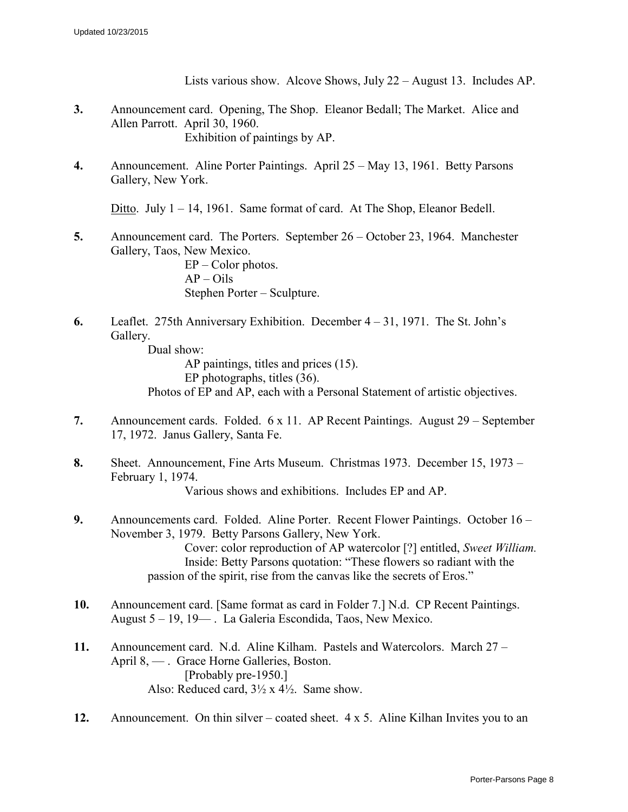Lists various show. Alcove Shows, July 22 – August 13. Includes AP.

- **3.** Announcement card. Opening, The Shop. Eleanor Bedall; The Market. Alice and Allen Parrott. April 30, 1960. Exhibition of paintings by AP.
- **4.** Announcement. Aline Porter Paintings. April 25 May 13, 1961. Betty Parsons Gallery, New York.

Ditto. July 1 – 14, 1961. Same format of card. At The Shop, Eleanor Bedell.

**5.** Announcement card. The Porters. September 26 – October 23, 1964. Manchester Gallery, Taos, New Mexico.

EP – Color photos.  $AP - Oils$ Stephen Porter – Sculpture.

**6.** Leaflet. 275th Anniversary Exhibition. December 4 – 31, 1971. The St. John's Gallery.

Dual show: AP paintings, titles and prices (15). EP photographs, titles (36). Photos of EP and AP, each with a Personal Statement of artistic objectives.

- **7.** Announcement cards. Folded. 6 x 11. AP Recent Paintings. August 29 September 17, 1972. Janus Gallery, Santa Fe.
- **8.** Sheet. Announcement, Fine Arts Museum. Christmas 1973. December 15, 1973 February 1, 1974. Various shows and exhibitions. Includes EP and AP.
- **9.** Announcements card. Folded. Aline Porter. Recent Flower Paintings. October 16 November 3, 1979. Betty Parsons Gallery, New York. Cover: color reproduction of AP watercolor [?] entitled, *Sweet William.* Inside: Betty Parsons quotation: "These flowers so radiant with the passion of the spirit, rise from the canvas like the secrets of Eros."
- **10.** Announcement card. [Same format as card in Folder 7.] N.d. CP Recent Paintings. August 5 – 19, 19— . La Galeria Escondida, Taos, New Mexico.
- **11.** Announcement card. N.d. Aline Kilham. Pastels and Watercolors. March 27 April 8, — . Grace Horne Galleries, Boston. [Probably pre-1950.] Also: Reduced card, 3½ x 4½. Same show.
- **12.** Announcement. On thin silver coated sheet. 4 x 5. Aline Kilhan Invites you to an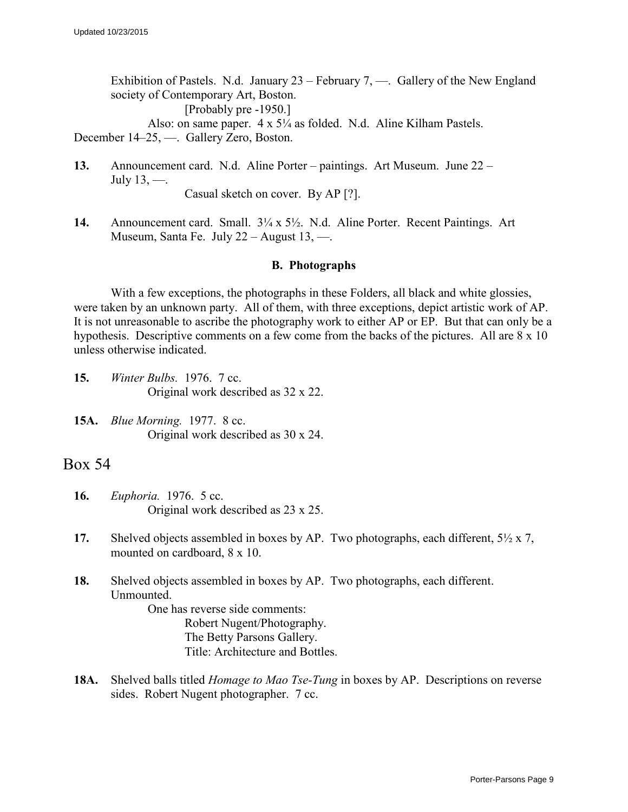Exhibition of Pastels. N.d. January  $23$  – February 7, —. Gallery of the New England society of Contemporary Art, Boston.

[Probably pre -1950.]

Also: on same paper. 4 x 5¼ as folded. N.d. Aline Kilham Pastels. December 14–25, —. Gallery Zero, Boston.

- **13.** Announcement card. N.d. Aline Porter paintings. Art Museum. June 22 July 13, —. Casual sketch on cover. By AP [?].
- **14.** Announcement card. Small. 3¼ x 5½. N.d. Aline Porter. Recent Paintings. Art Museum, Santa Fe. July 22 – August 13, —.

#### **B. Photographs**

With a few exceptions, the photographs in these Folders, all black and white glossies, were taken by an unknown party. All of them, with three exceptions, depict artistic work of AP. It is not unreasonable to ascribe the photography work to either AP or EP. But that can only be a hypothesis. Descriptive comments on a few come from the backs of the pictures. All are  $8 \times 10$ unless otherwise indicated.

- **15.** *Winter Bulbs.* 1976. 7 cc. Original work described as 32 x 22.
- **15A.** *Blue Morning.* 1977. 8 cc. Original work described as 30 x 24.

### Box 54

- **16.** *Euphoria.* 1976. 5 cc. Original work described as 23 x 25.
- **17.** Shelved objects assembled in boxes by AP. Two photographs, each different, 5½ x 7, mounted on cardboard, 8 x 10.
- **18.** Shelved objects assembled in boxes by AP. Two photographs, each different. Unmounted.

One has reverse side comments: Robert Nugent/Photography. The Betty Parsons Gallery. Title: Architecture and Bottles.

**18A.** Shelved balls titled *Homage to Mao Tse-Tung* in boxes by AP. Descriptions on reverse sides. Robert Nugent photographer. 7 cc.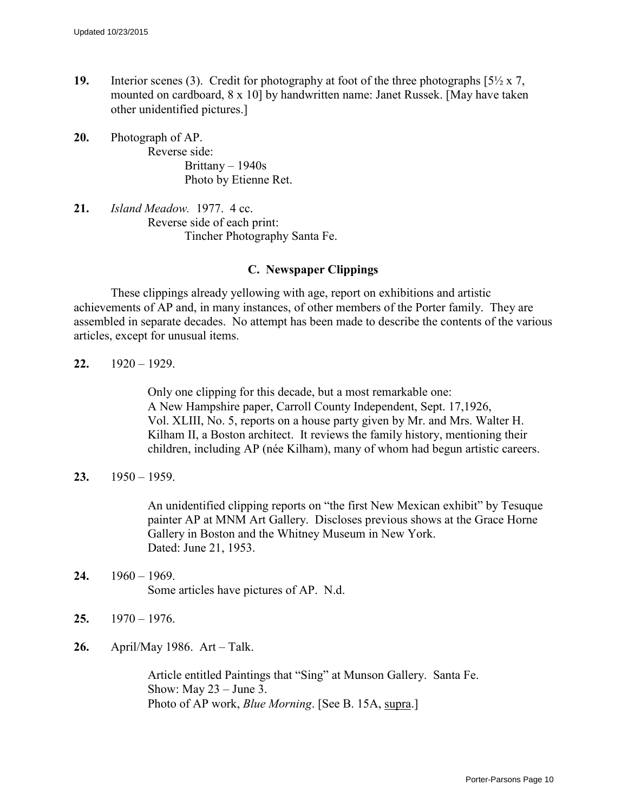- **19.** Interior scenes (3). Credit for photography at foot of the three photographs  $\frac{5}{2} \times 7$ , mounted on cardboard, 8 x 10] by handwritten name: Janet Russek. [May have taken other unidentified pictures.]
- **20.** Photograph of AP. Reverse side: Brittany – 1940s Photo by Etienne Ret.
- **21.** *Island Meadow.* 1977. 4 cc. Reverse side of each print: Tincher Photography Santa Fe.

#### **C. Newspaper Clippings**

These clippings already yellowing with age, report on exhibitions and artistic achievements of AP and, in many instances, of other members of the Porter family. They are assembled in separate decades. No attempt has been made to describe the contents of the various articles, except for unusual items.

**22.** 1920 – 1929.

Only one clipping for this decade, but a most remarkable one: A New Hampshire paper, Carroll County Independent, Sept. 17,1926, Vol. XLIII, No. 5, reports on a house party given by Mr. and Mrs. Walter H. Kilham II, a Boston architect. It reviews the family history, mentioning their children, including AP (née Kilham), many of whom had begun artistic careers.

**23.** 1950 – 1959.

An unidentified clipping reports on "the first New Mexican exhibit" by Tesuque painter AP at MNM Art Gallery. Discloses previous shows at the Grace Horne Gallery in Boston and the Whitney Museum in New York. Dated: June 21, 1953.

- **24.** 1960 1969. Some articles have pictures of AP. N.d.
- **25.** 1970 1976.
- **26.** April/May 1986. Art Talk.

Article entitled Paintings that "Sing" at Munson Gallery. Santa Fe. Show: May  $23 -$  June 3. Photo of AP work, *Blue Morning*. [See B. 15A, supra.]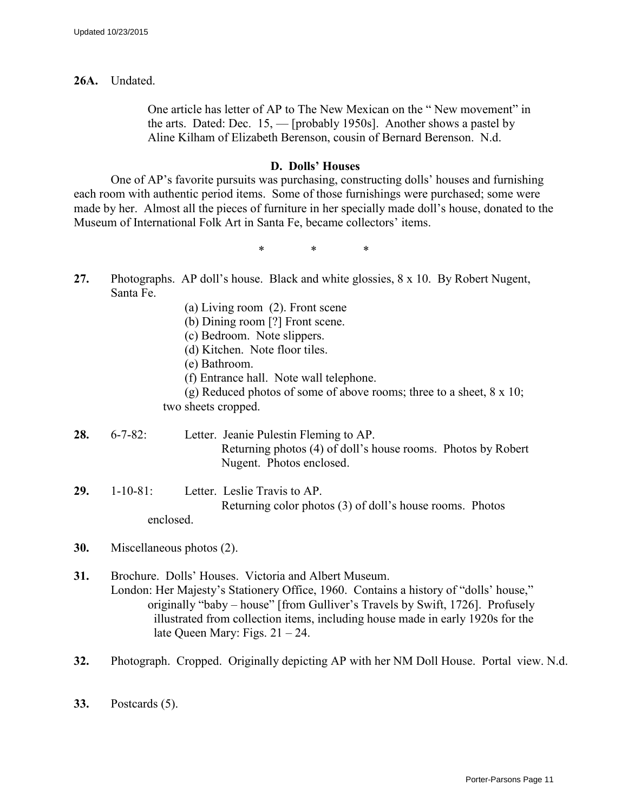**26A.** Undated.

One article has letter of AP to The New Mexican on the " New movement" in the arts. Dated: Dec. 15, — [probably 1950s]. Another shows a pastel by Aline Kilham of Elizabeth Berenson, cousin of Bernard Berenson. N.d.

#### **D. Dolls' Houses**

One of AP's favorite pursuits was purchasing, constructing dolls' houses and furnishing each room with authentic period items. Some of those furnishings were purchased; some were made by her. Almost all the pieces of furniture in her specially made doll's house, donated to the Museum of International Folk Art in Santa Fe, became collectors' items.

\* \* \*

- **27.** Photographs. AP doll's house. Black and white glossies, 8 x 10. By Robert Nugent, Santa Fe.
	- (a) Living room (2). Front scene
	- (b) Dining room [?] Front scene.
	- (c) Bedroom. Note slippers.
	- (d) Kitchen. Note floor tiles.
	- (e) Bathroom.
	- (f) Entrance hall. Note wall telephone.

(g) Reduced photos of some of above rooms; three to a sheet, 8 x 10; two sheets cropped.

- **28.** 6-7-82: Letter. Jeanie Pulestin Fleming to AP. Returning photos (4) of doll's house rooms. Photos by Robert Nugent. Photos enclosed.
- **29.** 1-10-81: Letter. Leslie Travis to AP. Returning color photos (3) of doll's house rooms. Photos enclosed.
- **30.** Miscellaneous photos (2).
- **31.** Brochure. Dolls' Houses. Victoria and Albert Museum. London: Her Majesty's Stationery Office, 1960. Contains a history of "dolls' house," originally "baby – house" [from Gulliver's Travels by Swift, 1726]. Profusely illustrated from collection items, including house made in early 1920s for the late Queen Mary: Figs.  $21 - 24$ .
- **32.** Photograph. Cropped. Originally depicting AP with her NM Doll House. Portal view. N.d.
- **33.** Postcards (5).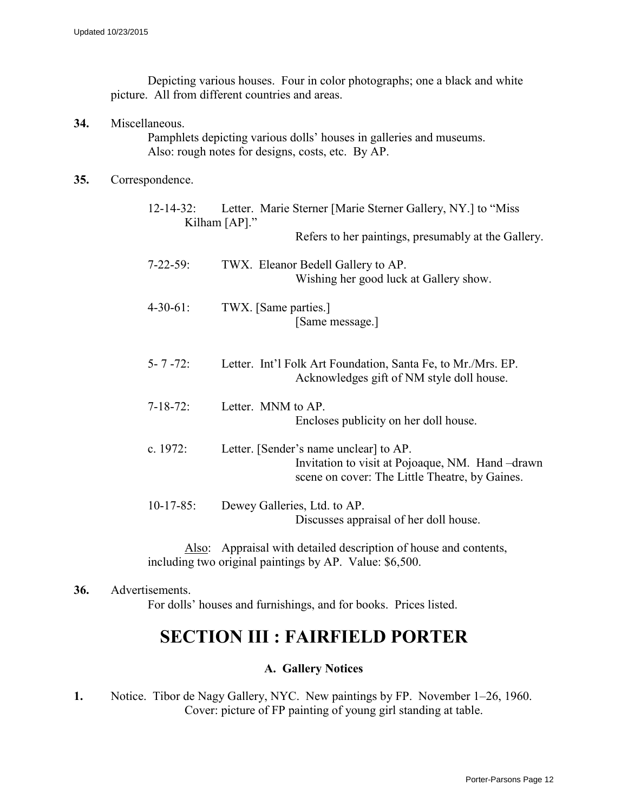Depicting various houses. Four in color photographs; one a black and white picture. All from different countries and areas.

**34.** Miscellaneous.

Pamphlets depicting various dolls' houses in galleries and museums. Also: rough notes for designs, costs, etc. By AP.

#### **35.** Correspondence.

| $12 - 14 - 32$ : | Letter. Marie Sterner [Marie Sterner Gallery, NY.] to "Miss<br>Kilham $[AP]$ ."                                                             |
|------------------|---------------------------------------------------------------------------------------------------------------------------------------------|
|                  | Refers to her paintings, presumably at the Gallery.                                                                                         |
| $7 - 22 - 59$ :  | TWX. Eleanor Bedell Gallery to AP.<br>Wishing her good luck at Gallery show.                                                                |
| $4 - 30 - 61$ :  | TWX. [Same parties.]<br>[Same message.]                                                                                                     |
| $5 - 7 - 72$     | Letter. Int'l Folk Art Foundation, Santa Fe, to Mr./Mrs. EP.<br>Acknowledges gift of NM style doll house.                                   |
| $7 - 18 - 72$ :  | Letter. MNM to AP.<br>Encloses publicity on her doll house.                                                                                 |
| c. $1972$ :      | Letter. [Sender's name unclear] to AP.<br>Invitation to visit at Pojoaque, NM. Hand-drawn<br>scene on cover: The Little Theatre, by Gaines. |
| $10-17-85$ :     | Dewey Galleries, Ltd. to AP.<br>Discusses appraisal of her doll house.                                                                      |

Also: Appraisal with detailed description of house and contents, including two original paintings by AP. Value: \$6,500.

**36.** Advertisements.

For dolls' houses and furnishings, and for books. Prices listed.

## **SECTION III : FAIRFIELD PORTER**

## **A. Gallery Notices**

**1.** Notice. Tibor de Nagy Gallery, NYC. New paintings by FP. November 1–26, 1960. Cover: picture of FP painting of young girl standing at table.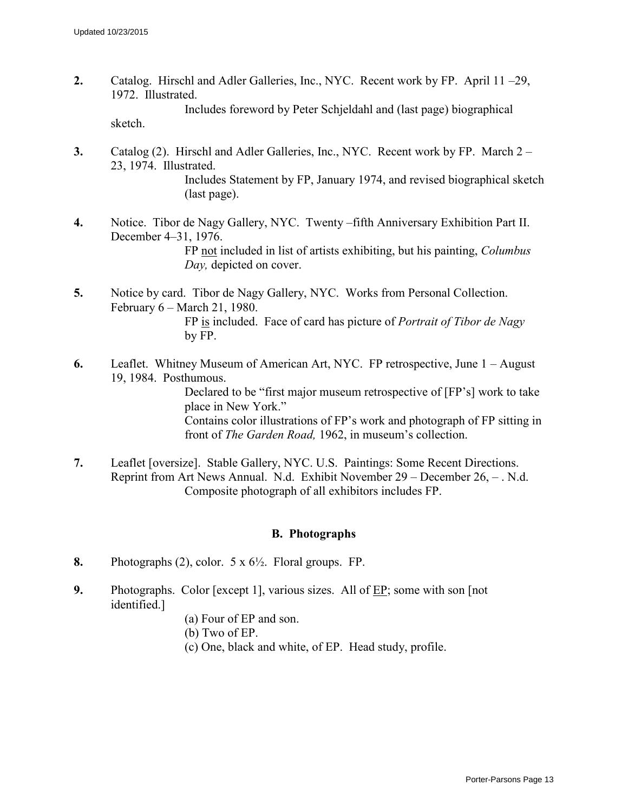- **2.** Catalog. Hirschl and Adler Galleries, Inc., NYC. Recent work by FP. April 11 –29, 1972. Illustrated. Includes foreword by Peter Schjeldahl and (last page) biographical sketch.
- **3.** Catalog (2). Hirschl and Adler Galleries, Inc., NYC. Recent work by FP. March 2 23, 1974. Illustrated. Includes Statement by FP, January 1974, and revised biographical sketch (last page).
- **4.** Notice. Tibor de Nagy Gallery, NYC. Twenty –fifth Anniversary Exhibition Part II. December 4–31, 1976. FP not included in list of artists exhibiting, but his painting, *Columbus Day,* depicted on cover.
- **5.** Notice by card. Tibor de Nagy Gallery, NYC. Works from Personal Collection. February 6 – March 21, 1980. FP is included. Face of card has picture of *Portrait of Tibor de Nagy* by FP.
- **6.** Leaflet. Whitney Museum of American Art, NYC. FP retrospective, June 1 August 19, 1984. Posthumous. Declared to be "first major museum retrospective of [FP's] work to take place in New York." Contains color illustrations of FP's work and photograph of FP sitting in front of *The Garden Road,* 1962, in museum's collection.
- **7.** Leaflet [oversize]. Stable Gallery, NYC. U.S. Paintings: Some Recent Directions. Reprint from Art News Annual. N.d. Exhibit November 29 – December 26, – . N.d. Composite photograph of all exhibitors includes FP.

#### **B. Photographs**

- **8.** Photographs (2), color. 5 x 6½. Floral groups. FP.
- **9.** Photographs. Color [except 1], various sizes. All of <u>EP</u>; some with son [not identified.]
	- (a) Four of EP and son.
	- (b) Two of EP.
	- (c) One, black and white, of EP. Head study, profile.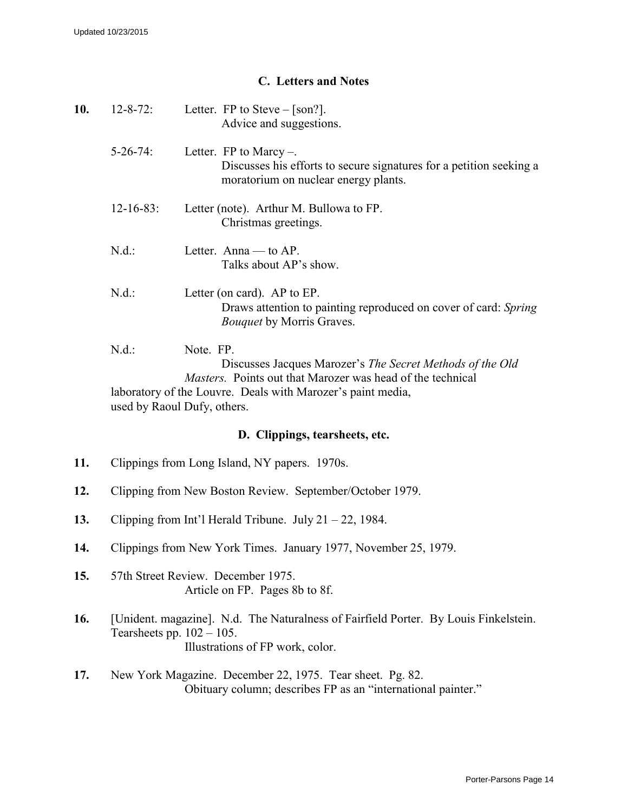## **C. Letters and Notes**

| 10. | $12 - 8 - 72$ :                      | Letter. FP to Steve $-$ [son?].<br>Advice and suggestions.                                                                                                                                                 |
|-----|--------------------------------------|------------------------------------------------------------------------------------------------------------------------------------------------------------------------------------------------------------|
|     | $5-26-74$ :                          | Letter. $FP$ to Marcy -.<br>Discusses his efforts to secure signatures for a petition seeking a<br>moratorium on nuclear energy plants.                                                                    |
|     | $12 - 16 - 83$ :                     | Letter (note). Arthur M. Bullowa to FP.<br>Christmas greetings.                                                                                                                                            |
|     | N.d.:                                | Letter. Anna — to $AP$ .<br>Talks about AP's show.                                                                                                                                                         |
|     | N.d.:                                | Letter (on card). AP to EP.<br>Draws attention to painting reproduced on cover of card: Spring<br><b>Bouquet by Morris Graves.</b>                                                                         |
|     | N.d.:<br>used by Raoul Dufy, others. | Note. FP.<br>Discusses Jacques Marozer's The Secret Methods of the Old<br><i>Masters.</i> Points out that Marozer was head of the technical<br>laboratory of the Louvre. Deals with Marozer's paint media, |
|     |                                      | D. Clippings, tearsheets, etc.                                                                                                                                                                             |
| 11. |                                      | Clippings from Long Island, NY papers. 1970s.                                                                                                                                                              |
| 12. |                                      | Clipping from New Boston Review. September/October 1979.                                                                                                                                                   |
| 13. |                                      | Clipping from Int'l Herald Tribune. July $21 - 22$ , 1984.                                                                                                                                                 |
| 14. |                                      | Clippings from New York Times. January 1977, November 25, 1979.                                                                                                                                            |
| 15. |                                      | 57th Street Review. December 1975.<br>Article on FP. Pages 8b to 8f.                                                                                                                                       |
| 16. | Tearsheets pp. $102 - 105$ .         | [Unident. magazine]. N.d. The Naturalness of Fairfield Porter. By Louis Finkelstein.<br>Illustrations of FP work, color.                                                                                   |
| 17. |                                      | New York Magazine. December 22, 1975. Tear sheet. Pg. 82.<br>Obituary column; describes FP as an "international painter."                                                                                  |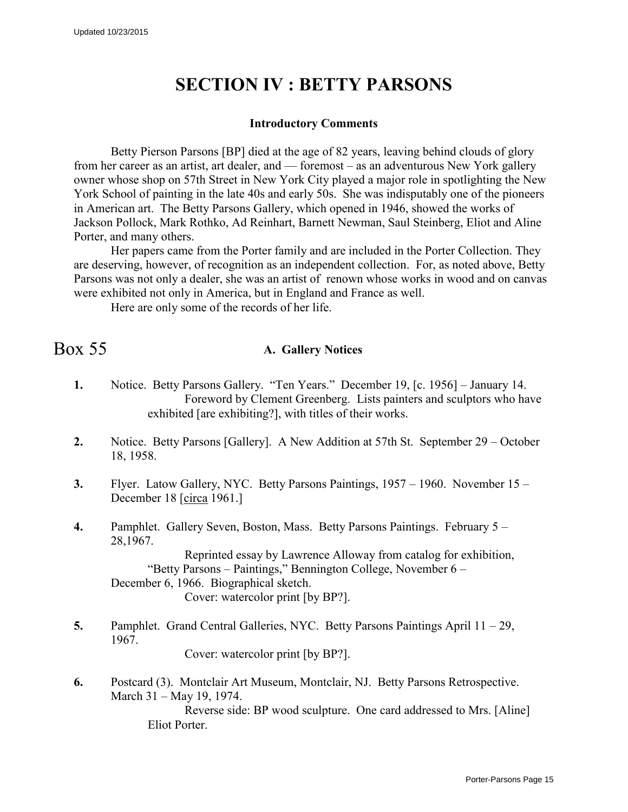# **SECTION IV : BETTY PARSONS**

#### **Introductory Comments**

Betty Pierson Parsons [BP] died at the age of 82 years, leaving behind clouds of glory from her career as an artist, art dealer, and — foremost – as an adventurous New York gallery owner whose shop on 57th Street in New York City played a major role in spotlighting the New York School of painting in the late 40s and early 50s. She was indisputably one of the pioneers in American art. The Betty Parsons Gallery, which opened in 1946, showed the works of Jackson Pollock, Mark Rothko, Ad Reinhart, Barnett Newman, Saul Steinberg, Eliot and Aline Porter, and many others.

Her papers came from the Porter family and are included in the Porter Collection. They are deserving, however, of recognition as an independent collection. For, as noted above, Betty Parsons was not only a dealer, she was an artist of renown whose works in wood and on canvas were exhibited not only in America, but in England and France as well.

Here are only some of the records of her life.

## Box 55 **A. Gallery Notices**

- **1.** Notice. Betty Parsons Gallery. "Ten Years." December 19, [c. 1956] January 14. Foreword by Clement Greenberg. Lists painters and sculptors who have exhibited [are exhibiting?], with titles of their works.
- **2.** Notice. Betty Parsons [Gallery]. A New Addition at 57th St. September 29 October 18, 1958.
- **3.** Flyer. Latow Gallery, NYC. Betty Parsons Paintings, 1957 1960. November 15 December 18 [circa 1961.]
- **4.** Pamphlet. Gallery Seven, Boston, Mass. Betty Parsons Paintings. February 5 28,1967.

Reprinted essay by Lawrence Alloway from catalog for exhibition, "Betty Parsons – Paintings," Bennington College, November 6 – December 6, 1966. Biographical sketch. Cover: watercolor print [by BP?].

**5.** Pamphlet. Grand Central Galleries, NYC. Betty Parsons Paintings April 11 – 29, 1967.

Cover: watercolor print [by BP?].

**6.** Postcard (3). Montclair Art Museum, Montclair, NJ. Betty Parsons Retrospective. March 31 – May 19, 1974.

Reverse side: BP wood sculpture. One card addressed to Mrs. [Aline] Eliot Porter.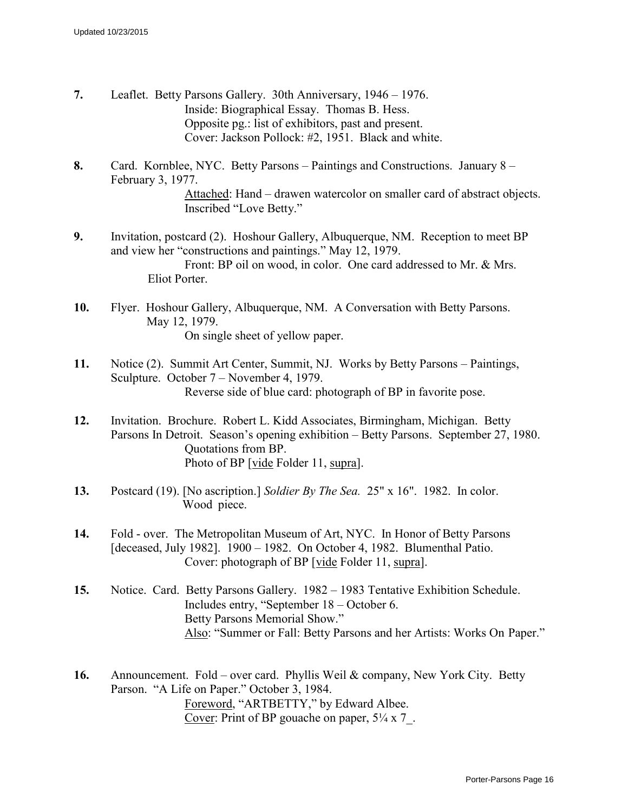- **7.** Leaflet. Betty Parsons Gallery. 30th Anniversary, 1946 1976. Inside: Biographical Essay. Thomas B. Hess. Opposite pg.: list of exhibitors, past and present. Cover: Jackson Pollock: #2, 1951. Black and white.
- **8.** Card. Kornblee, NYC. Betty Parsons Paintings and Constructions. January 8 February 3, 1977. Attached: Hand – drawen watercolor on smaller card of abstract objects. Inscribed "Love Betty."
- **9.** Invitation, postcard (2). Hoshour Gallery, Albuquerque, NM. Reception to meet BP and view her "constructions and paintings." May 12, 1979. Front: BP oil on wood, in color. One card addressed to Mr. & Mrs. Eliot Porter.
- **10.** Flyer. Hoshour Gallery, Albuquerque, NM. A Conversation with Betty Parsons. May 12, 1979. On single sheet of yellow paper.
- **11.** Notice (2). Summit Art Center, Summit, NJ. Works by Betty Parsons Paintings, Sculpture. October 7 – November 4, 1979. Reverse side of blue card: photograph of BP in favorite pose.
- **12.** Invitation. Brochure. Robert L. Kidd Associates, Birmingham, Michigan. Betty Parsons In Detroit. Season's opening exhibition – Betty Parsons. September 27, 1980. Quotations from BP. Photo of BP [vide Folder 11, supra].
- **13.** Postcard (19). [No ascription.] *Soldier By The Sea.* 25" x 16". 1982. In color. Wood piece.
- **14.** Fold over. The Metropolitan Museum of Art, NYC. In Honor of Betty Parsons [deceased, July 1982]. 1900 – 1982. On October 4, 1982. Blumenthal Patio. Cover: photograph of BP [vide Folder 11, supra].
- **15.** Notice. Card. Betty Parsons Gallery. 1982 1983 Tentative Exhibition Schedule. Includes entry, "September 18 – October 6. Betty Parsons Memorial Show." Also: "Summer or Fall: Betty Parsons and her Artists: Works On Paper."
- **16.** Announcement. Fold over card. Phyllis Weil & company, New York City. Betty Parson. "A Life on Paper." October 3, 1984. Foreword, "ARTBETTY," by Edward Albee. Cover: Print of BP gouache on paper,  $5\frac{1}{4} \times 7$ .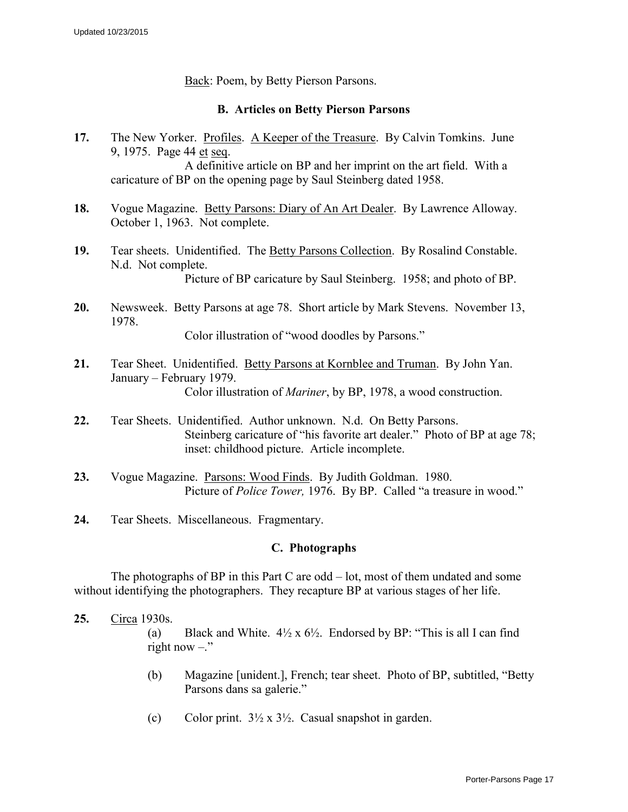Back: Poem, by Betty Pierson Parsons.

#### **B. Articles on Betty Pierson Parsons**

- **17.** The New Yorker. Profiles. A Keeper of the Treasure. By Calvin Tomkins. June 9, 1975. Page 44 et seq. A definitive article on BP and her imprint on the art field. With a caricature of BP on the opening page by Saul Steinberg dated 1958.
- **18.** Vogue Magazine. Betty Parsons: Diary of An Art Dealer. By Lawrence Alloway. October 1, 1963. Not complete.
- **19.** Tear sheets. Unidentified. The Betty Parsons Collection. By Rosalind Constable. N.d. Not complete. Picture of BP caricature by Saul Steinberg. 1958; and photo of BP.
- **20.** Newsweek. Betty Parsons at age 78. Short article by Mark Stevens. November 13, 1978.

Color illustration of "wood doodles by Parsons."

- **21.** Tear Sheet. Unidentified. Betty Parsons at Kornblee and Truman. By John Yan. January – February 1979. Color illustration of *Mariner*, by BP, 1978, a wood construction.
- **22.** Tear Sheets. Unidentified. Author unknown. N.d. On Betty Parsons. Steinberg caricature of "his favorite art dealer." Photo of BP at age 78; inset: childhood picture. Article incomplete.
- **23.** Vogue Magazine. Parsons: Wood Finds. By Judith Goldman. 1980. Picture of *Police Tower,* 1976. By BP. Called "a treasure in wood."
- **24.** Tear Sheets. Miscellaneous. Fragmentary.

#### **C. Photographs**

The photographs of BP in this Part C are odd – lot, most of them undated and some without identifying the photographers. They recapture BP at various stages of her life.

**25.** Circa 1930s.

(a) Black and White.  $4\frac{1}{2} \times 6\frac{1}{2}$ . Endorsed by BP: "This is all I can find right now  $-$ ."

- (b) Magazine [unident.], French; tear sheet. Photo of BP, subtitled, "Betty Parsons dans sa galerie."
- (c) Color print.  $3\frac{1}{2} \times 3\frac{1}{2}$ . Casual snapshot in garden.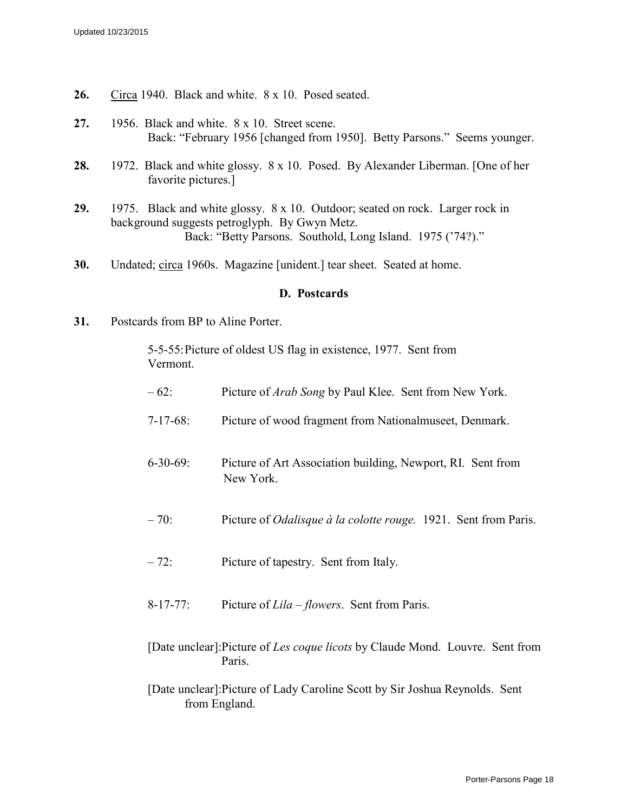- **26.** Circa 1940. Black and white. 8 x 10. Posed seated.
- **27.** 1956. Black and white. 8 x 10. Street scene. Back: "February 1956 [changed from 1950]. Betty Parsons." Seems younger.
- **28.** 1972. Black and white glossy. 8 x 10. Posed. By Alexander Liberman. [One of her favorite pictures.]
- **29.** 1975. Black and white glossy. 8 x 10. Outdoor; seated on rock. Larger rock in background suggests petroglyph. By Gwyn Metz. Back: "Betty Parsons. Southold, Long Island. 1975 ('74?)."
- **30.** Undated; circa 1960s. Magazine [unident.] tear sheet. Seated at home.

#### **D. Postcards**

**31.** Postcards from BP to Aline Porter.

5-5-55: Picture of oldest US flag in existence, 1977. Sent from Vermont.

| $-62$ :         | Picture of <i>Arab Song</i> by Paul Klee. Sent from New York.            |
|-----------------|--------------------------------------------------------------------------|
| $7-17-68$ :     | Picture of wood fragment from Nationalmuseet, Denmark.                   |
| $6 - 30 - 69$ : | Picture of Art Association building, Newport, RI. Sent from<br>New York. |
| $-70$ :         | Picture of <i>Odalisque à la colotte rouge</i> . 1921. Sent from Paris.  |
| $-72:$          | Picture of tapestry. Sent from Italy.                                    |

- 8-17-77: Picture of *Lila – flowers*. Sent from Paris.
- [Date unclear]:Picture of *Les coque licots* by Claude Mond. Louvre. Sent from Paris.

[Date unclear]:Picture of Lady Caroline Scott by Sir Joshua Reynolds. Sent from England.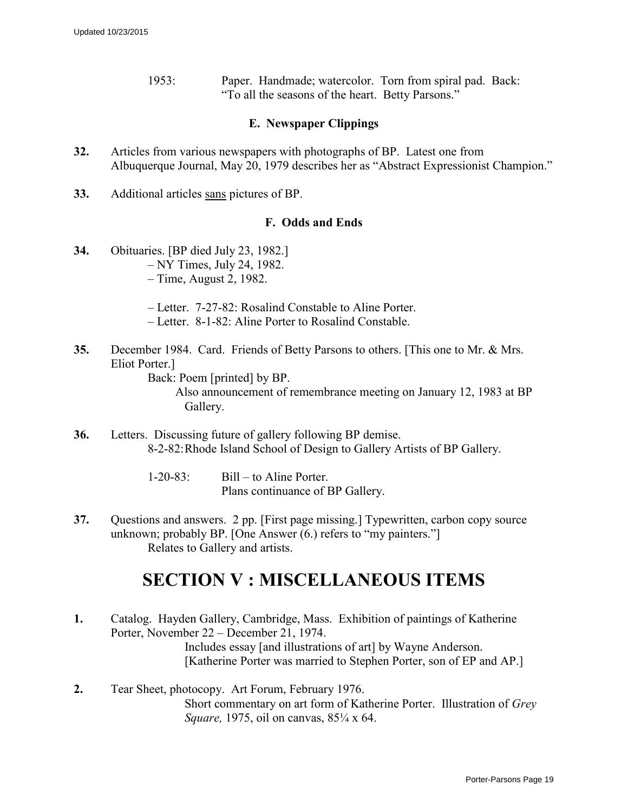1953: Paper. Handmade; watercolor. Torn from spiral pad. Back: "To all the seasons of the heart. Betty Parsons."

#### **E. Newspaper Clippings**

- **32.** Articles from various newspapers with photographs of BP. Latest one from Albuquerque Journal, May 20, 1979 describes her as "Abstract Expressionist Champion."
- **33.** Additional articles sans pictures of BP.

#### **F. Odds and Ends**

- **34.** Obituaries. [BP died July 23, 1982.] – NY Times, July 24, 1982. – Time, August 2, 1982.
	- Letter. 7-27-82: Rosalind Constable to Aline Porter.
	- Letter. 8-1-82: Aline Porter to Rosalind Constable.
- **35.** December 1984. Card. Friends of Betty Parsons to others. [This one to Mr. & Mrs. Eliot Porter.]

Back: Poem [printed] by BP.

 Also announcement of remembrance meeting on January 12, 1983 at BP Gallery.

**36.** Letters. Discussing future of gallery following BP demise. 8-2-82: Rhode Island School of Design to Gallery Artists of BP Gallery.

> 1-20-83: Bill – to Aline Porter. Plans continuance of BP Gallery.

**37.** Questions and answers. 2 pp. [First page missing.] Typewritten, carbon copy source unknown; probably BP. [One Answer (6.) refers to "my painters."] Relates to Gallery and artists.

## **SECTION V : MISCELLANEOUS ITEMS**

- **1.** Catalog. Hayden Gallery, Cambridge, Mass. Exhibition of paintings of Katherine Porter, November 22 – December 21, 1974. Includes essay [and illustrations of art] by Wayne Anderson. [Katherine Porter was married to Stephen Porter, son of EP and AP.]
- **2.** Tear Sheet, photocopy. Art Forum, February 1976. Short commentary on art form of Katherine Porter. Illustration of *Grey Square,* 1975, oil on canvas, 85¼ x 64.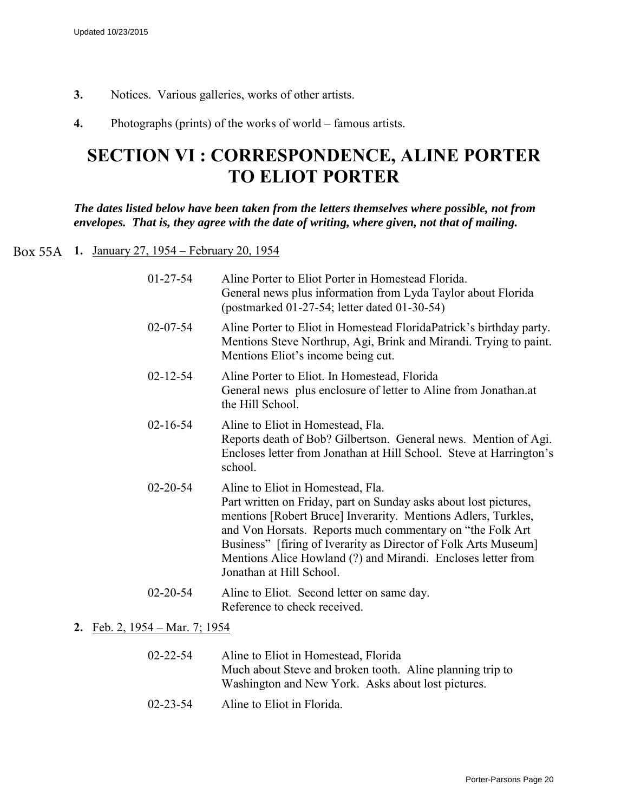- **3.** Notices. Various galleries, works of other artists.
- **4.** Photographs (prints) of the works of world famous artists.

## **SECTION VI : CORRESPONDENCE, ALINE PORTER TO ELIOT PORTER**

*The dates listed below have been taken from the letters themselves where possible, not from envelopes. That is, they agree with the date of writing, where given, not that of mailing.* 

## **1.** January 27, 1954 – February 20, 1954 Box 55A

| $01-27-54$     | Aline Porter to Eliot Porter in Homestead Florida.<br>General news plus information from Lyda Taylor about Florida<br>(postmarked 01-27-54; letter dated 01-30-54)                                                                                                                                                                                                                                  |
|----------------|-----------------------------------------------------------------------------------------------------------------------------------------------------------------------------------------------------------------------------------------------------------------------------------------------------------------------------------------------------------------------------------------------------|
| $02 - 07 - 54$ | Aline Porter to Eliot in Homestead Florida Patrick's birthday party.<br>Mentions Steve Northrup, Agi, Brink and Mirandi. Trying to paint.<br>Mentions Eliot's income being cut.                                                                                                                                                                                                                     |
| $02 - 12 - 54$ | Aline Porter to Eliot. In Homestead, Florida<br>General news plus enclosure of letter to Aline from Jonathan.at<br>the Hill School.                                                                                                                                                                                                                                                                 |
| $02 - 16 - 54$ | Aline to Eliot in Homestead, Fla.<br>Reports death of Bob? Gilbertson. General news. Mention of Agi.<br>Encloses letter from Jonathan at Hill School. Steve at Harrington's<br>school.                                                                                                                                                                                                              |
| $02 - 20 - 54$ | Aline to Eliot in Homestead, Fla.<br>Part written on Friday, part on Sunday asks about lost pictures,<br>mentions [Robert Bruce] Inverarity. Mentions Adlers, Turkles,<br>and Von Horsats. Reports much commentary on "the Folk Art"<br>Business" [firing of Iverarity as Director of Folk Arts Museum]<br>Mentions Alice Howland (?) and Mirandi. Encloses letter from<br>Jonathan at Hill School. |
| $02 - 20 - 54$ | Aline to Eliot. Second letter on same day.<br>Reference to check received.                                                                                                                                                                                                                                                                                                                          |

#### **2.** Feb. 2, 1954 – Mar. 7; 1954

| $02 - 22 - 54$                                | Aline to Eliot in Homestead, Florida                      |
|-----------------------------------------------|-----------------------------------------------------------|
|                                               | Much about Steve and broken tooth. Aline planning trip to |
|                                               | Washington and New York. Asks about lost pictures.        |
| $\Omega$ $\Omega$ $\Omega$ $\Gamma$ $\Lambda$ | $\blacksquare$                                            |

02-23-54 Aline to Eliot in Florida.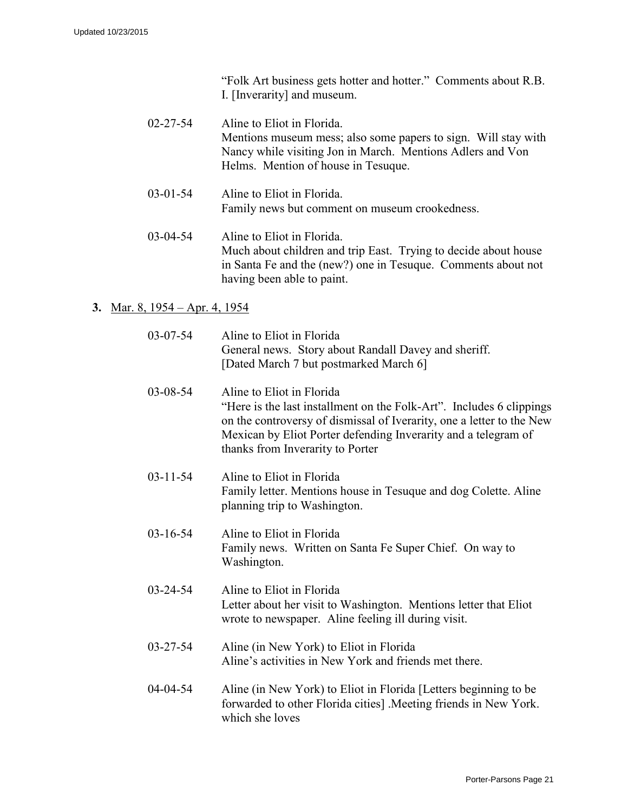| "Folk Art business gets hotter and hotter." Comments about R.B. |  |
|-----------------------------------------------------------------|--|
| I. [Inverarity] and museum.                                     |  |

| $02 - 27 - 54$ | Aline to Eliot in Florida.<br>Mentions museum mess; also some papers to sign. Will stay with<br>Nancy while visiting Jon in March. Mentions Adlers and Von<br>Helms. Mention of house in Tesuque. |
|----------------|---------------------------------------------------------------------------------------------------------------------------------------------------------------------------------------------------|
| $03 - 01 - 54$ | Aline to Eliot in Florida.<br>Family news but comment on museum crookedness.                                                                                                                      |
| $03-04-54$     | Aline to Eliot in Florida.<br>$\mathbf{M}$ 1 1 $\pm$ 1911 1 $\pm$ 1 $\pm$ 1 $\pm$ 1 $\pm$ 1 $\pm$ 1 $\pm$ 1 $\pm$ 1 $\pm$ 1 $\pm$ 1 $\pm$ 1 $\pm$ 1 $\pm$                                         |

Much about children and trip East. Trying to decide about house in Santa Fe and the (new?) one in Tesuque. Comments about not having been able to paint.

### **3.** Mar. 8, 1954 – Apr. 4, 1954

| $03-07-54$     | Aline to Eliot in Florida<br>General news. Story about Randall Davey and sheriff.<br>[Dated March 7 but postmarked March 6]                                                                                                                                                      |
|----------------|----------------------------------------------------------------------------------------------------------------------------------------------------------------------------------------------------------------------------------------------------------------------------------|
| 03-08-54       | Aline to Eliot in Florida<br>"Here is the last installment on the Folk-Art". Includes 6 clippings<br>on the controversy of dismissal of Iverarity, one a letter to the New<br>Mexican by Eliot Porter defending Inverarity and a telegram of<br>thanks from Inverarity to Porter |
| $03 - 11 - 54$ | Aline to Eliot in Florida<br>Family letter. Mentions house in Tesuque and dog Colette. Aline<br>planning trip to Washington.                                                                                                                                                     |
| $03 - 16 - 54$ | Aline to Eliot in Florida<br>Family news. Written on Santa Fe Super Chief. On way to<br>Washington.                                                                                                                                                                              |
| $03 - 24 - 54$ | Aline to Eliot in Florida<br>Letter about her visit to Washington. Mentions letter that Eliot<br>wrote to newspaper. Aline feeling ill during visit.                                                                                                                             |
| $03 - 27 - 54$ | Aline (in New York) to Eliot in Florida<br>Aline's activities in New York and friends met there.                                                                                                                                                                                 |
| 04-04-54       | Aline (in New York) to Eliot in Florida [Letters beginning to be<br>forwarded to other Florida cities] . Meeting friends in New York.<br>which she loves                                                                                                                         |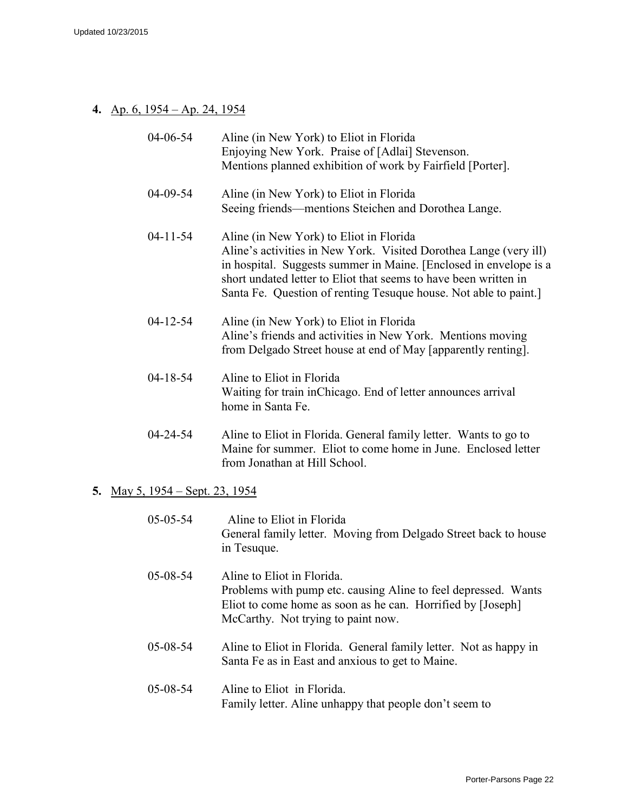### **4.** Ap. 6, 1954 – Ap. 24, 1954

| 04-06-54       | Aline (in New York) to Eliot in Florida<br>Enjoying New York. Praise of [Adlai] Stevenson.<br>Mentions planned exhibition of work by Fairfield [Porter].                                                                                                                                                                  |
|----------------|---------------------------------------------------------------------------------------------------------------------------------------------------------------------------------------------------------------------------------------------------------------------------------------------------------------------------|
| 04-09-54       | Aline (in New York) to Eliot in Florida<br>Seeing friends—mentions Steichen and Dorothea Lange.                                                                                                                                                                                                                           |
| $04 - 11 - 54$ | Aline (in New York) to Eliot in Florida<br>Aline's activities in New York. Visited Dorothea Lange (very ill)<br>in hospital. Suggests summer in Maine. [Enclosed in envelope is a<br>short undated letter to Eliot that seems to have been written in<br>Santa Fe. Question of renting Tesuque house. Not able to paint.] |
| $04 - 12 - 54$ | Aline (in New York) to Eliot in Florida<br>Aline's friends and activities in New York. Mentions moving<br>from Delgado Street house at end of May [apparently renting].                                                                                                                                                   |
| $04 - 18 - 54$ | Aline to Eliot in Florida<br>Waiting for train in Chicago. End of letter announces arrival<br>home in Santa Fe.                                                                                                                                                                                                           |
| $04 - 24 - 54$ | Aline to Eliot in Florida. General family letter. Wants to go to<br>Maine for summer. Eliot to come home in June. Enclosed letter<br>from Jonathan at Hill School.                                                                                                                                                        |

#### **5.** May 5, 1954 – Sept. 23, 1954

| $05 - 05 - 54$ | Aline to Eliot in Florida<br>General family letter. Moving from Delgado Street back to house<br>in Tesuque.                                                                                       |
|----------------|---------------------------------------------------------------------------------------------------------------------------------------------------------------------------------------------------|
| $05 - 08 - 54$ | Aline to Eliot in Florida.<br>Problems with pump etc. causing Aline to feel depressed. Wants<br>Eliot to come home as soon as he can. Horrified by [Joseph]<br>McCarthy. Not trying to paint now. |
| $05 - 08 - 54$ | Aline to Eliot in Florida. General family letter. Not as happy in<br>Santa Fe as in East and anxious to get to Maine.                                                                             |
| $05 - 08 - 54$ | Aline to Eliot in Florida.<br>Family letter. Aline unhappy that people don't seem to                                                                                                              |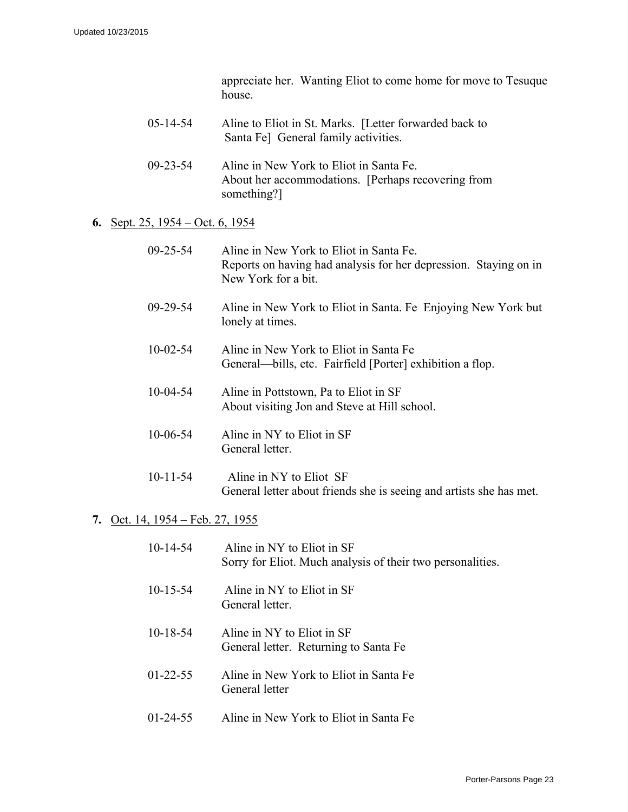appreciate her. Wanting Eliot to come home for move to Tesuque house.

| $05 - 14 - 54$ | Aline to Eliot in St. Marks. [Letter forwarded back to |
|----------------|--------------------------------------------------------|
|                | Santa Fe] General family activities.                   |

09-23-54 Aline in New York to Eliot in Santa Fe. About her accommodations. [Perhaps recovering from something?]

#### **6.** Sept. 25, 1954 – Oct. 6, 1954

| $09 - 25 - 54$ | Aline in New York to Eliot in Santa Fe.<br>Reports on having had analysis for her depression. Staying on in<br>New York for a bit. |
|----------------|------------------------------------------------------------------------------------------------------------------------------------|
| $09 - 29 - 54$ | Aline in New York to Eliot in Santa. Fe Enjoying New York but<br>lonely at times.                                                  |
| $10 - 02 - 54$ | Aline in New York to Eliot in Santa Fe<br>General—bills, etc. Fairfield [Porter] exhibition a flop.                                |
| $10-04-54$     | Aline in Pottstown, Pa to Eliot in SF<br>About visiting Jon and Steve at Hill school.                                              |
| $10 - 06 - 54$ | Aline in NY to Eliot in SF<br>General letter.                                                                                      |
| $10 - 11 - 54$ | Aline in NY to Eliot SF<br>General letter about friends she is seeing and artists she has met.                                     |

#### **7.** Oct. 14, 1954 – Feb. 27, 1955

| $10-14-54$     | Aline in NY to Eliot in SF<br>Sorry for Eliot. Much analysis of their two personalities. |
|----------------|------------------------------------------------------------------------------------------|
| $10 - 15 - 54$ | Aline in NY to Eliot in SF<br>General letter.                                            |
| $10 - 18 - 54$ | Aline in NY to Eliot in SF<br>General letter. Returning to Santa Fe                      |
| $01 - 22 - 55$ | Aline in New York to Eliot in Santa Fe<br>General letter                                 |
| $01 - 24 - 55$ | Aline in New York to Eliot in Santa Fe                                                   |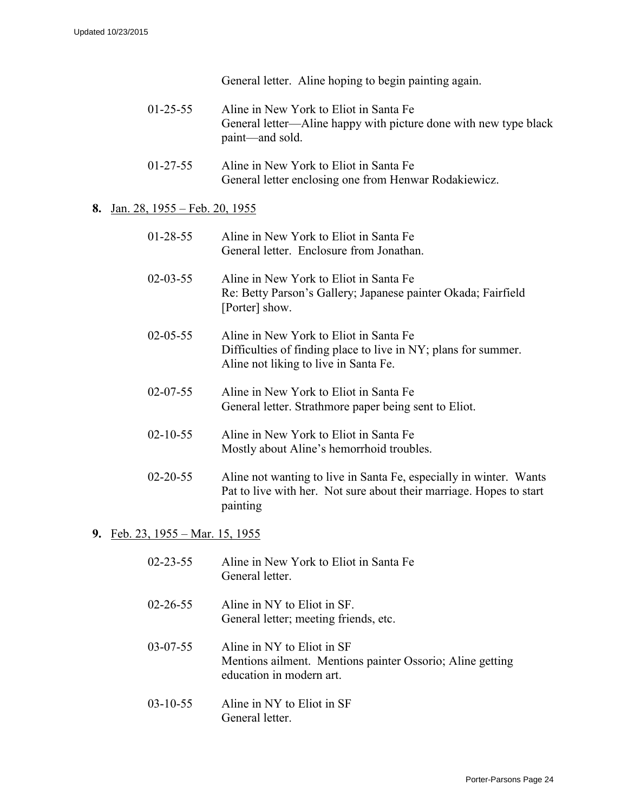General letter. Aline hoping to begin painting again.

- 01-25-55 Aline in New York to Eliot in Santa Fe General letter—Aline happy with picture done with new type black paint—and sold.
- 01-27-55 Aline in New York to Eliot in Santa Fe General letter enclosing one from Henwar Rodakiewicz.

#### **8.** Jan. 28, 1955 – Feb. 20, 1955

| $01 - 28 - 55$ | Aline in New York to Eliot in Santa Fe<br>General letter. Enclosure from Jonathan.                                                                    |
|----------------|-------------------------------------------------------------------------------------------------------------------------------------------------------|
| $02 - 03 - 55$ | Aline in New York to Eliot in Santa Fe<br>Re: Betty Parson's Gallery; Japanese painter Okada; Fairfield<br>[Porter] show.                             |
| $02 - 05 - 55$ | Aline in New York to Eliot in Santa Fe<br>Difficulties of finding place to live in NY; plans for summer.<br>Aline not liking to live in Santa Fe.     |
| $02 - 07 - 55$ | Aline in New York to Eliot in Santa Fe<br>General letter. Strathmore paper being sent to Eliot.                                                       |
| $02 - 10 - 55$ | Aline in New York to Eliot in Santa Fe<br>Mostly about Aline's hemorrhoid troubles.                                                                   |
| $02 - 20 - 55$ | Aline not wanting to live in Santa Fe, especially in winter. Wants<br>Pat to live with her. Not sure about their marriage. Hopes to start<br>painting |

#### **9.** Feb. 23, 1955 – Mar. 15, 1955

| $02 - 23 - 55$ | Aline in New York to Eliot in Santa Fe<br>General letter.                                                           |
|----------------|---------------------------------------------------------------------------------------------------------------------|
| $02 - 26 - 55$ | Aline in NY to Eliot in SF.<br>General letter; meeting friends, etc.                                                |
| $03-07-55$     | Aline in NY to Eliot in SF<br>Mentions ailment. Mentions painter Ossorio; Aline getting<br>education in modern art. |
| $03-10-55$     | Aline in NY to Eliot in SF<br>General letter.                                                                       |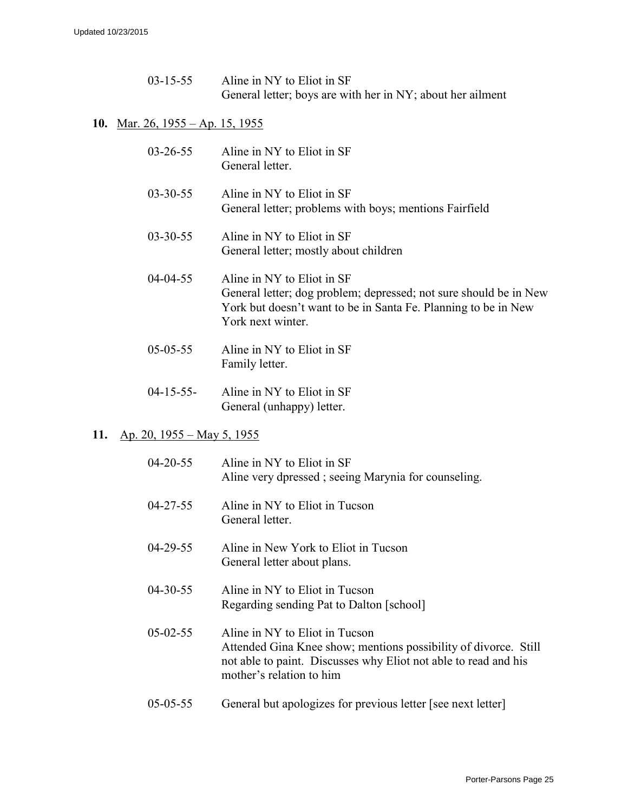| $03 - 15 - 55$ | Aline in NY to Eliot in SF                                 |
|----------------|------------------------------------------------------------|
|                | General letter; boys are with her in NY; about her ailment |

#### **10.** Mar. 26, 1955 – Ap. 15, 1955

| $03 - 26 - 55$   | Aline in NY to Eliot in SF<br>General letter.                                                                                                                                          |
|------------------|----------------------------------------------------------------------------------------------------------------------------------------------------------------------------------------|
| $03 - 30 - 55$   | Aline in NY to Eliot in SF<br>General letter; problems with boys; mentions Fairfield                                                                                                   |
| $03 - 30 - 55$   | Aline in NY to Eliot in SF<br>General letter; mostly about children                                                                                                                    |
| $04 - 04 - 55$   | Aline in NY to Eliot in SF<br>General letter; dog problem; depressed; not sure should be in New<br>York but doesn't want to be in Santa Fe. Planning to be in New<br>York next winter. |
| $05 - 05 - 55$   | Aline in NY to Eliot in SF<br>Family letter.                                                                                                                                           |
| $04 - 15 - 55 -$ | Aline in NY to Eliot in SF                                                                                                                                                             |

General (unhappy) letter.

#### **11.** Ap. 20, 1955 – May 5, 1955

| $04 - 20 - 55$ | Aline in NY to Eliot in SF<br>Aline very dpressed; seeing Marynia for counseling.                                                                                                                |
|----------------|--------------------------------------------------------------------------------------------------------------------------------------------------------------------------------------------------|
| $04 - 27 - 55$ | Aline in NY to Eliot in Tucson<br>General letter.                                                                                                                                                |
| $04 - 29 - 55$ | Aline in New York to Eliot in Tucson<br>General letter about plans.                                                                                                                              |
| $04 - 30 - 55$ | Aline in NY to Eliot in Tucson<br>Regarding sending Pat to Dalton [school]                                                                                                                       |
| $05 - 02 - 55$ | Aline in NY to Eliot in Tucson<br>Attended Gina Knee show; mentions possibility of divorce. Still<br>not able to paint. Discusses why Eliot not able to read and his<br>mother's relation to him |
| $05 - 05 - 55$ | General but apologizes for previous letter [see next letter]                                                                                                                                     |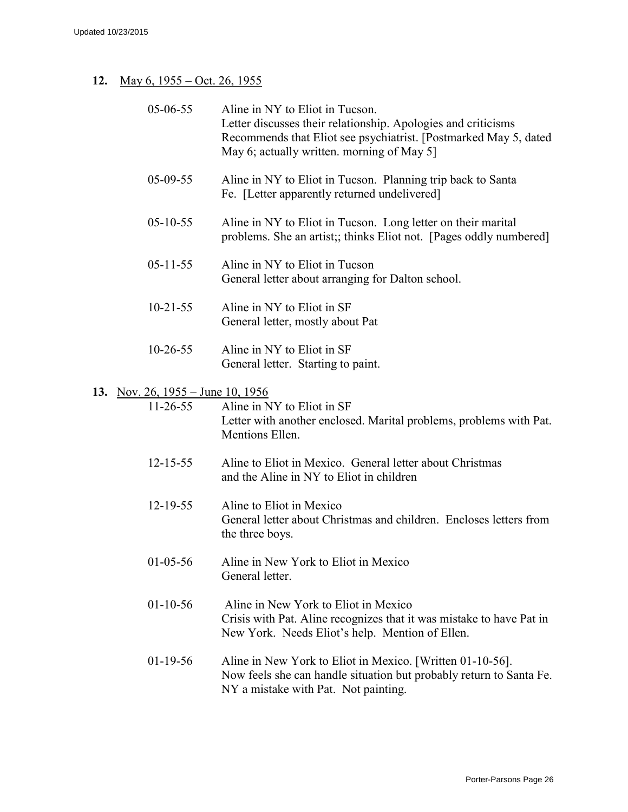### **12.** May 6, 1955 – Oct. 26, 1955

| 05-06-55                            | Aline in NY to Eliot in Tucson.<br>Letter discusses their relationship. Apologies and criticisms<br>Recommends that Eliot see psychiatrist. [Postmarked May 5, dated]<br>May 6; actually written. morning of May 5] |
|-------------------------------------|---------------------------------------------------------------------------------------------------------------------------------------------------------------------------------------------------------------------|
| $05-09-55$                          | Aline in NY to Eliot in Tucson. Planning trip back to Santa<br>Fe. [Letter apparently returned undelivered]                                                                                                         |
| $05 - 10 - 55$                      | Aline in NY to Eliot in Tucson. Long letter on their marital<br>problems. She an artist;; thinks Eliot not. [Pages oddly numbered]                                                                                  |
| $05 - 11 - 55$                      | Aline in NY to Eliot in Tucson<br>General letter about arranging for Dalton school.                                                                                                                                 |
| $10-21-55$                          | Aline in NY to Eliot in SF<br>General letter, mostly about Pat                                                                                                                                                      |
| $10-26-55$                          | Aline in NY to Eliot in SF<br>General letter. Starting to paint.                                                                                                                                                    |
| 13. Nov. 26, $1955 -$ June 10, 1956 |                                                                                                                                                                                                                     |
| $11-26-55$                          | Aline in NY to Eliot in SF<br>Letter with another enclosed. Marital problems, problems with Pat.<br>Mentions Ellen.                                                                                                 |
| $12 - 15 - 55$                      | Aline to Eliot in Mexico. General letter about Christmas<br>and the Aline in NY to Eliot in children                                                                                                                |
| $12 - 19 - 55$                      | Aline to Eliot in Mexico<br>General letter about Christmas and children. Encloses letters from<br>the three boys.                                                                                                   |
| $01 - 05 - 56$                      | Aline in New York to Eliot in Mexico<br>General letter.                                                                                                                                                             |
| $01-10-56$                          | Aline in New York to Eliot in Mexico<br>Crisis with Pat. Aline recognizes that it was mistake to have Pat in<br>New York. Needs Eliot's help. Mention of Ellen.                                                     |
| $01-19-56$                          | Aline in New York to Eliot in Mexico. [Written 01-10-56].<br>Now feels she can handle situation but probably return to Santa Fe.<br>NY a mistake with Pat. Not painting.                                            |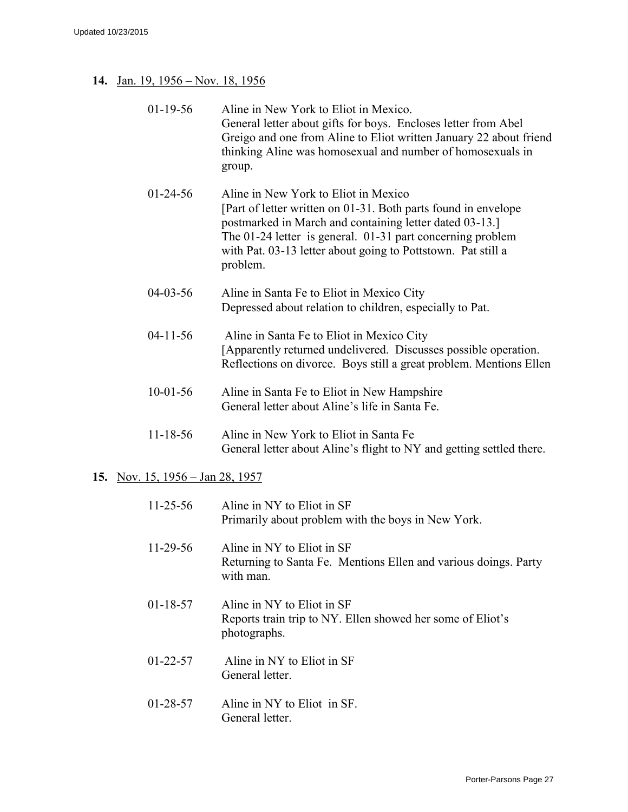#### **14.** Jan. 19, 1956 – Nov. 18, 1956

| 01-19-56 | Aline in New York to Eliot in Mexico.                              |
|----------|--------------------------------------------------------------------|
|          | General letter about gifts for boys. Encloses letter from Abel     |
|          | Greigo and one from Aline to Eliot written January 22 about friend |
|          | thinking Aline was homosexual and number of homosexuals in         |
|          | group.                                                             |

- 01-24-56 Aline in New York to Eliot in Mexico [Part of letter written on 01-31. Both parts found in envelope postmarked in March and containing letter dated 03-13.] The 01-24 letter is general. 01-31 part concerning problem with Pat. 03-13 letter about going to Pottstown. Pat still a problem.
- 04-03-56 Aline in Santa Fe to Eliot in Mexico City Depressed about relation to children, especially to Pat.
- 04-11-56 Aline in Santa Fe to Eliot in Mexico City [Apparently returned undelivered. Discusses possible operation. Reflections on divorce. Boys still a great problem. Mentions Ellen
- 10-01-56 Aline in Santa Fe to Eliot in New Hampshire General letter about Aline's life in Santa Fe.
- 11-18-56 Aline in New York to Eliot in Santa Fe General letter about Aline's flight to NY and getting settled there.

#### **15.** Nov. 15, 1956 – Jan 28, 1957

| $11 - 25 - 56$ | Aline in NY to Eliot in SF<br>Primarily about problem with the boys in New York.                           |
|----------------|------------------------------------------------------------------------------------------------------------|
| $11-29-56$     | Aline in NY to Eliot in SF<br>Returning to Santa Fe. Mentions Ellen and various doings. Party<br>with man. |
| 01-18-57       | Aline in NY to Eliot in SF<br>Reports train trip to NY. Ellen showed her some of Eliot's<br>photographs.   |
| 01-22-57       | Aline in NY to Eliot in SF<br>General letter.                                                              |
| 01-28-57       | Aline in NY to Eliot in SF.<br>General letter.                                                             |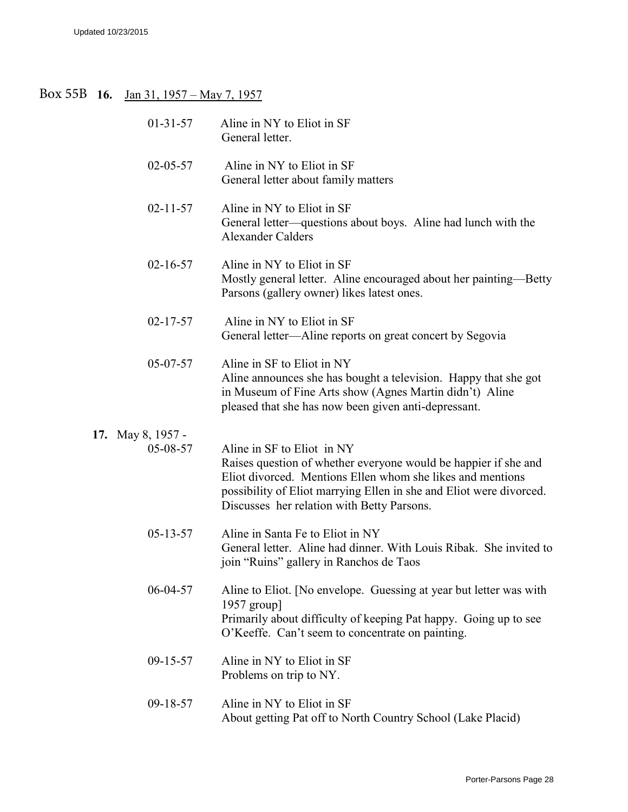#### Box 55B 16. Jan 31, 1957 – May 7, 1957

| $01-31-57$                    | Aline in NY to Eliot in SF<br>General letter.                                                                                                                                                                                                                                    |
|-------------------------------|----------------------------------------------------------------------------------------------------------------------------------------------------------------------------------------------------------------------------------------------------------------------------------|
| $02 - 05 - 57$                | Aline in NY to Eliot in SF<br>General letter about family matters                                                                                                                                                                                                                |
| $02 - 11 - 57$                | Aline in NY to Eliot in SF<br>General letter—questions about boys. Aline had lunch with the<br><b>Alexander Calders</b>                                                                                                                                                          |
| $02 - 16 - 57$                | Aline in NY to Eliot in SF<br>Mostly general letter. Aline encouraged about her painting—Betty<br>Parsons (gallery owner) likes latest ones.                                                                                                                                     |
| $02 - 17 - 57$                | Aline in NY to Eliot in SF<br>General letter—Aline reports on great concert by Segovia                                                                                                                                                                                           |
| 05-07-57                      | Aline in SF to Eliot in NY<br>Aline announces she has bought a television. Happy that she got<br>in Museum of Fine Arts show (Agnes Martin didn't) Aline<br>pleased that she has now been given anti-depressant.                                                                 |
| 17. May 8, 1957 -<br>05-08-57 | Aline in SF to Eliot in NY<br>Raises question of whether everyone would be happier if she and<br>Eliot divorced. Mentions Ellen whom she likes and mentions<br>possibility of Eliot marrying Ellen in she and Eliot were divorced.<br>Discusses her relation with Betty Parsons. |
| $05 - 13 - 57$                | Aline in Santa Fe to Eliot in NY<br>General letter. Aline had dinner. With Louis Ribak. She invited to<br>join "Ruins" gallery in Ranchos de Taos                                                                                                                                |
| 06-04-57                      | Aline to Eliot. [No envelope. Guessing at year but letter was with<br>1957 group]<br>Primarily about difficulty of keeping Pat happy. Going up to see<br>O'Keeffe. Can't seem to concentrate on painting.                                                                        |
| $09-15-57$                    | Aline in NY to Eliot in SF<br>Problems on trip to NY.                                                                                                                                                                                                                            |
| 09-18-57                      | Aline in NY to Eliot in SF<br>About getting Pat off to North Country School (Lake Placid)                                                                                                                                                                                        |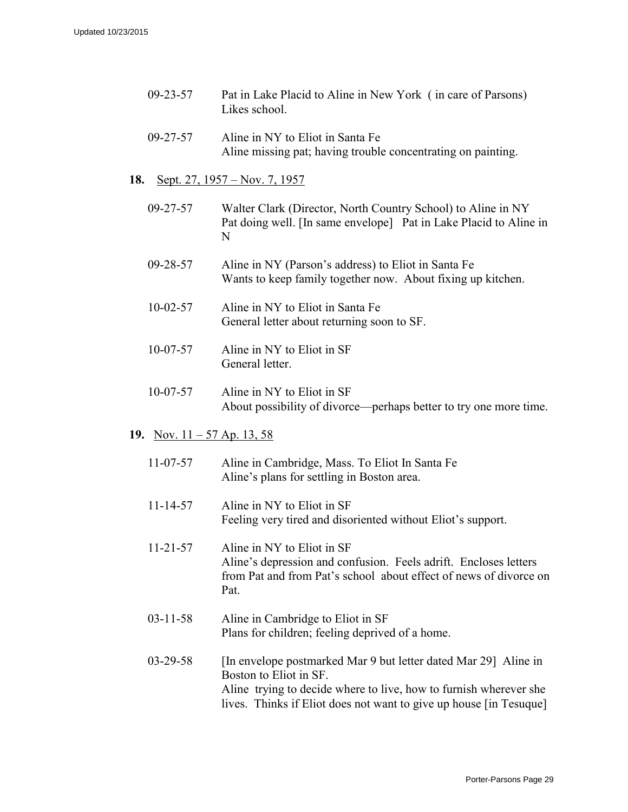- 09-23-57 Pat in Lake Placid to Aline in New York ( in care of Parsons) Likes school.
- 09-27-57 Aline in NY to Eliot in Santa Fe Aline missing pat; having trouble concentrating on painting.

#### **18.** Sept. 27, 1957 – Nov. 7, 1957

- 09-27-57 Walter Clark (Director, North Country School) to Aline in NY Pat doing well. [In same envelope] Pat in Lake Placid to Aline in N
- 09-28-57 Aline in NY (Parson's address) to Eliot in Santa Fe Wants to keep family together now. About fixing up kitchen.
- 10-02-57 Aline in NY to Eliot in Santa Fe General letter about returning soon to SF.
- 10-07-57 Aline in NY to Eliot in SF General letter.
- 10-07-57 Aline in NY to Eliot in SF About possibility of divorce—perhaps better to try one more time.
- **19.** Nov. 11 57 Ap. 13, 58

| $11 - 07 - 57$ | Aline in Cambridge, Mass. To Eliot In Santa Fe |
|----------------|------------------------------------------------|
|                | Aline's plans for settling in Boston area.     |

11-14-57 Aline in NY to Eliot in SF Feeling very tired and disoriented without Eliot's support.

11-21-57 Aline in NY to Eliot in SF Aline's depression and confusion. Feels adrift. Encloses letters from Pat and from Pat's school about effect of news of divorce on Pat.

- 03-11-58 Aline in Cambridge to Eliot in SF Plans for children; feeling deprived of a home.
- 03-29-58 [In envelope postmarked Mar 9 but letter dated Mar 29] Aline in Boston to Eliot in SF. Aline trying to decide where to live, how to furnish wherever she lives. Thinks if Eliot does not want to give up house [in Tesuque]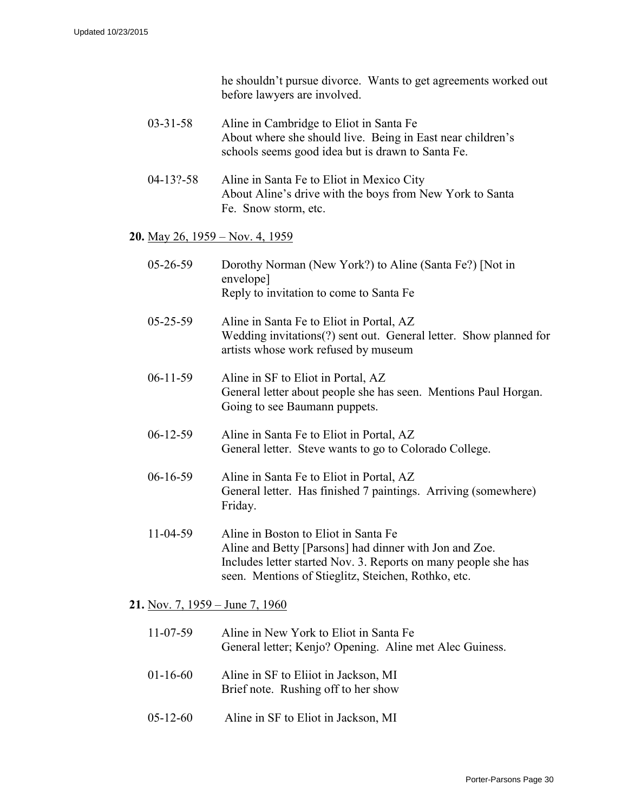he shouldn't pursue divorce. Wants to get agreements worked out before lawyers are involved.

- 03-31-58 Aline in Cambridge to Eliot in Santa Fe About where she should live. Being in East near children's schools seems good idea but is drawn to Santa Fe.
- 04-13?-58 Aline in Santa Fe to Eliot in Mexico City About Aline's drive with the boys from New York to Santa Fe. Snow storm, etc.

#### **20.** May 26, 1959 – Nov. 4, 1959

| $05 - 26 - 59$ | Dorothy Norman (New York?) to Aline (Santa Fe?) [Not in<br>envelope]<br>Reply to invitation to come to Santa Fe                                                                                                         |
|----------------|-------------------------------------------------------------------------------------------------------------------------------------------------------------------------------------------------------------------------|
| $05 - 25 - 59$ | Aline in Santa Fe to Eliot in Portal, AZ<br>Wedding invitations(?) sent out. General letter. Show planned for<br>artists whose work refused by museum                                                                   |
| $06-11-59$     | Aline in SF to Eliot in Portal, AZ<br>General letter about people she has seen. Mentions Paul Horgan.<br>Going to see Baumann puppets.                                                                                  |
| $06-12-59$     | Aline in Santa Fe to Eliot in Portal, AZ<br>General letter. Steve wants to go to Colorado College.                                                                                                                      |
| $06-16-59$     | Aline in Santa Fe to Eliot in Portal, AZ<br>General letter. Has finished 7 paintings. Arriving (somewhere)<br>Friday.                                                                                                   |
| $11-04-59$     | Aline in Boston to Eliot in Santa Fe<br>Aline and Betty [Parsons] had dinner with Jon and Zoe.<br>Includes letter started Nov. 3. Reports on many people she has<br>seen. Mentions of Stieglitz, Steichen, Rothko, etc. |

**21.** Nov. 7, 1959 – June 7, 1960

| $11 - 07 - 59$ | Aline in New York to Eliot in Santa Fe<br>General letter; Kenjo? Opening. Aline met Alec Guiness. |
|----------------|---------------------------------------------------------------------------------------------------|
| $01-16-60$     | Aline in SF to Eliiot in Jackson, MI<br>Brief note. Rushing off to her show                       |
| $05-12-60$     | Aline in SF to Eliot in Jackson, MI                                                               |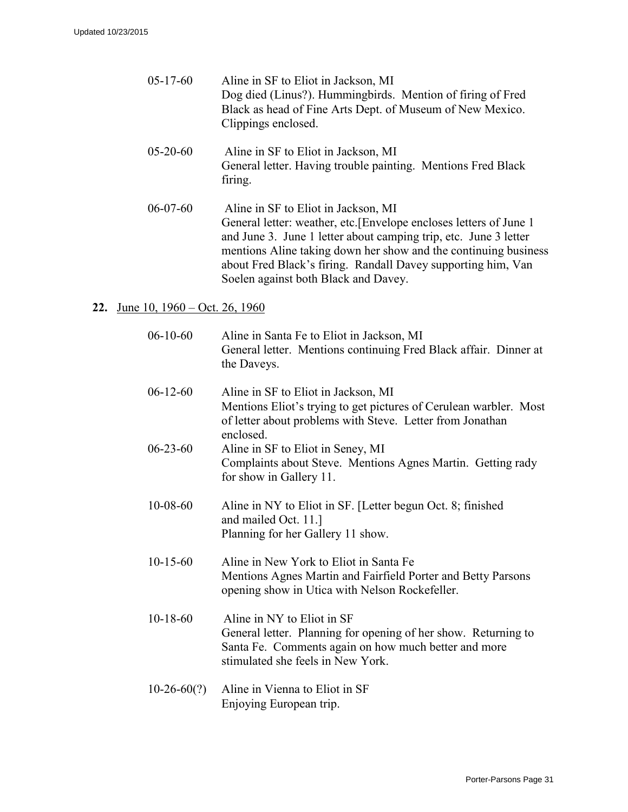| Aline in SF to Eliot in Jackson, MI<br>Dog died (Linus?). Hummingbirds. Mention of firing of Fred<br>Black as head of Fine Arts Dept. of Museum of New Mexico.<br>Clippings enclosed. |
|---------------------------------------------------------------------------------------------------------------------------------------------------------------------------------------|
|                                                                                                                                                                                       |

- 05-20-60 Aline in SF to Eliot in Jackson, MI General letter. Having trouble painting. Mentions Fred Black firing.
- 06-07-60 Aline in SF to Eliot in Jackson, MI General letter: weather, etc.[Envelope encloses letters of June 1 and June 3. June 1 letter about camping trip, etc. June 3 letter mentions Aline taking down her show and the continuing business about Fred Black's firing. Randall Davey supporting him, Van Soelen against both Black and Davey.

### **22.** June 10, 1960 – Oct. 26, 1960

| $06-10-60$     | Aline in Santa Fe to Eliot in Jackson, MI<br>General letter. Mentions continuing Fred Black affair. Dinner at<br>the Daveys.                                                              |
|----------------|-------------------------------------------------------------------------------------------------------------------------------------------------------------------------------------------|
| $06-12-60$     | Aline in SF to Eliot in Jackson, MI<br>Mentions Eliot's trying to get pictures of Cerulean warbler. Most<br>of letter about problems with Steve. Letter from Jonathan<br>enclosed.        |
| $06 - 23 - 60$ | Aline in SF to Eliot in Seney, MI<br>Complaints about Steve. Mentions Agnes Martin. Getting rady<br>for show in Gallery 11.                                                               |
| $10 - 08 - 60$ | Aline in NY to Eliot in SF. [Letter begun Oct. 8; finished<br>and mailed Oct. 11.]<br>Planning for her Gallery 11 show.                                                                   |
| $10-15-60$     | Aline in New York to Eliot in Santa Fe<br>Mentions Agnes Martin and Fairfield Porter and Betty Parsons<br>opening show in Utica with Nelson Rockefeller.                                  |
| $10-18-60$     | Aline in NY to Eliot in SF<br>General letter. Planning for opening of her show. Returning to<br>Santa Fe. Comments again on how much better and more<br>stimulated she feels in New York. |
| $10-26-60(?)$  | Aline in Vienna to Eliot in SF<br>Enjoying European trip.                                                                                                                                 |